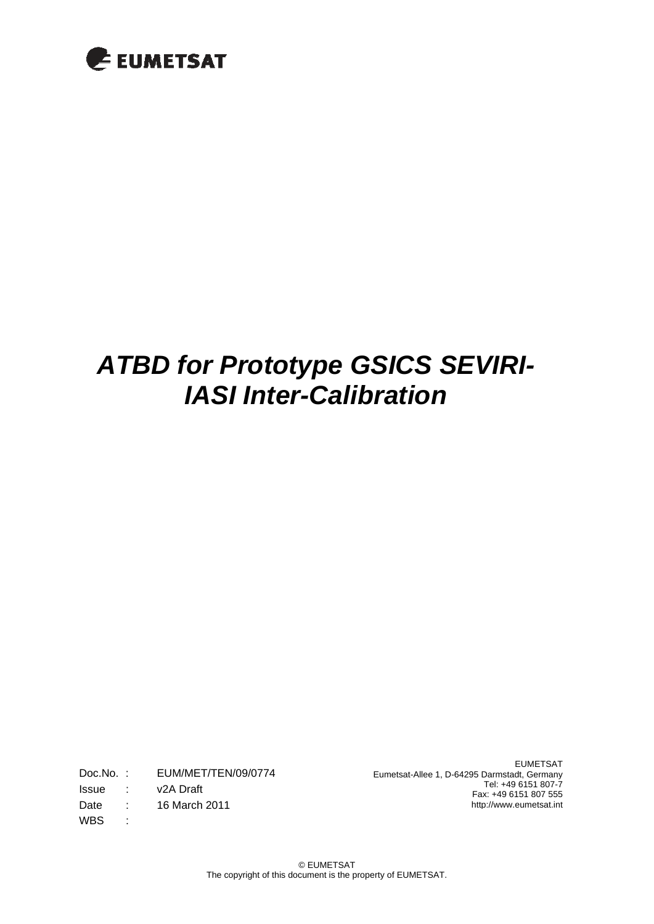

Doc.No. : EUM/MET/TEN/09/0774 Issue : v2A Draft Date : 16 March 2011 WBS :

EUMETSAT Eumetsat-Allee 1, D-64295 Darmstadt, Germany Tel: +49 6151 807-7 Fax: +49 6151 807 555 http://www.eumetsat.int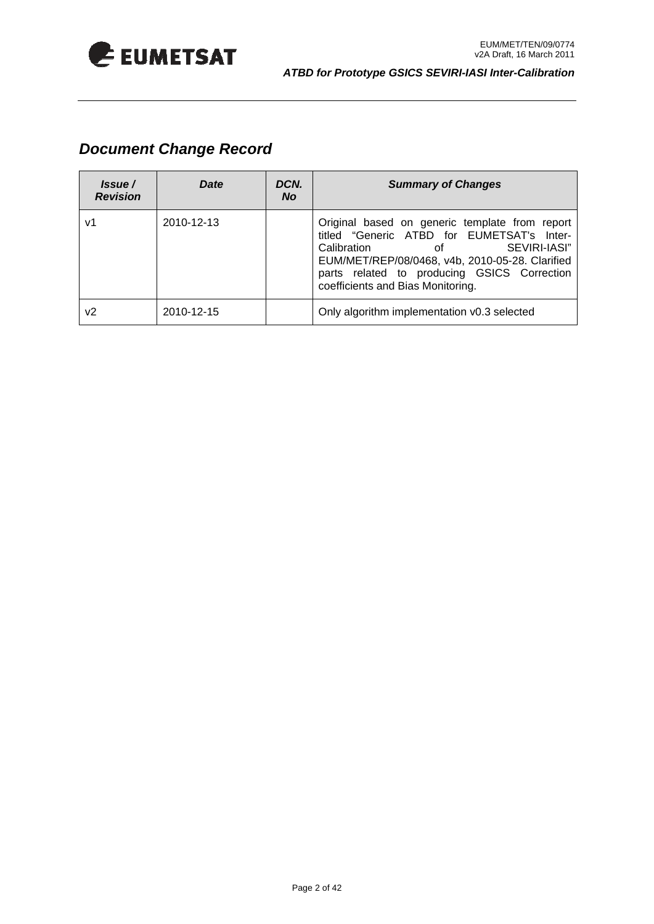

### *Document Change Record*

| Issue /<br><b>Revision</b> | Date       | DCN.<br><b>No</b> | <b>Summary of Changes</b>                                                                                                                                                                                                                                                |
|----------------------------|------------|-------------------|--------------------------------------------------------------------------------------------------------------------------------------------------------------------------------------------------------------------------------------------------------------------------|
| v1                         | 2010-12-13 |                   | Original based on generic template from report<br>titled "Generic ATBD for EUMETSAT's Inter-<br>SEVIRI-IASI"<br>Calibration<br>οf<br>EUM/MET/REP/08/0468, v4b, 2010-05-28. Clarified<br>parts related to producing GSICS Correction<br>coefficients and Bias Monitoring. |
| v2                         | 2010-12-15 |                   | Only algorithm implementation v0.3 selected                                                                                                                                                                                                                              |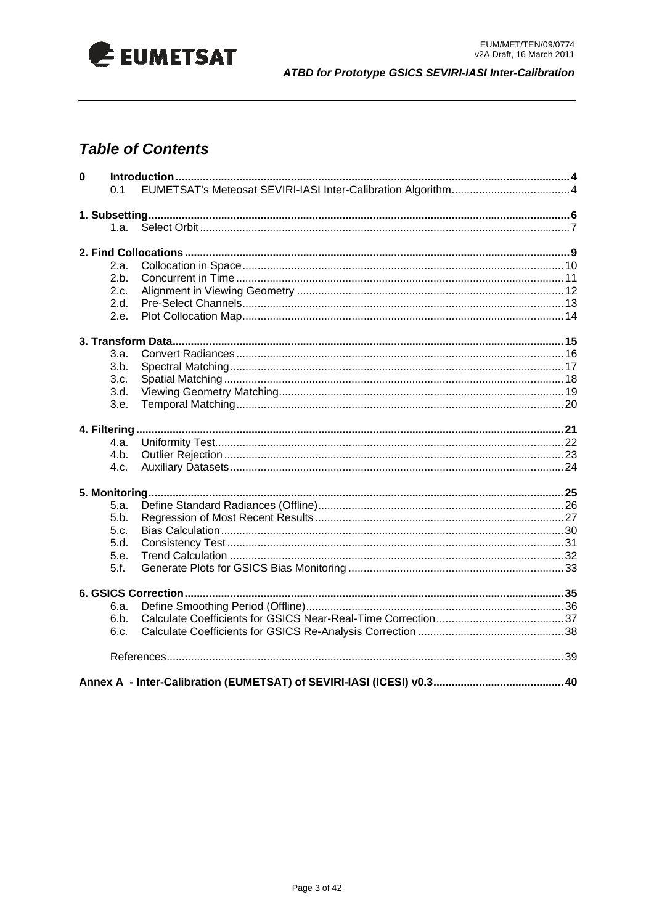

### **Table of Contents**

| $\mathbf 0$ |        |  |
|-------------|--------|--|
|             | 0.1    |  |
|             |        |  |
|             |        |  |
|             | 1.а. – |  |
|             |        |  |
|             | 2.a.   |  |
|             | 2.b.   |  |
|             | 2.c.   |  |
|             | 2.d.   |  |
|             | 2.e.   |  |
|             |        |  |
|             |        |  |
|             | 3.a.   |  |
|             | 3.b.   |  |
|             | 3.c.   |  |
|             | 3.d.   |  |
|             | 3.e.   |  |
|             |        |  |
|             | 4.a.   |  |
|             | 4.b.   |  |
|             | 4.c.   |  |
|             |        |  |
|             |        |  |
|             | 5.a.   |  |
|             | 5.b.   |  |
|             | 5.c.   |  |
|             | 5.d.   |  |
|             | 5.e.   |  |
|             | 5.f.   |  |
|             |        |  |
|             | 6.a.   |  |
|             | 6.b.   |  |
|             | 6.c.   |  |
|             |        |  |
|             |        |  |
|             |        |  |
|             |        |  |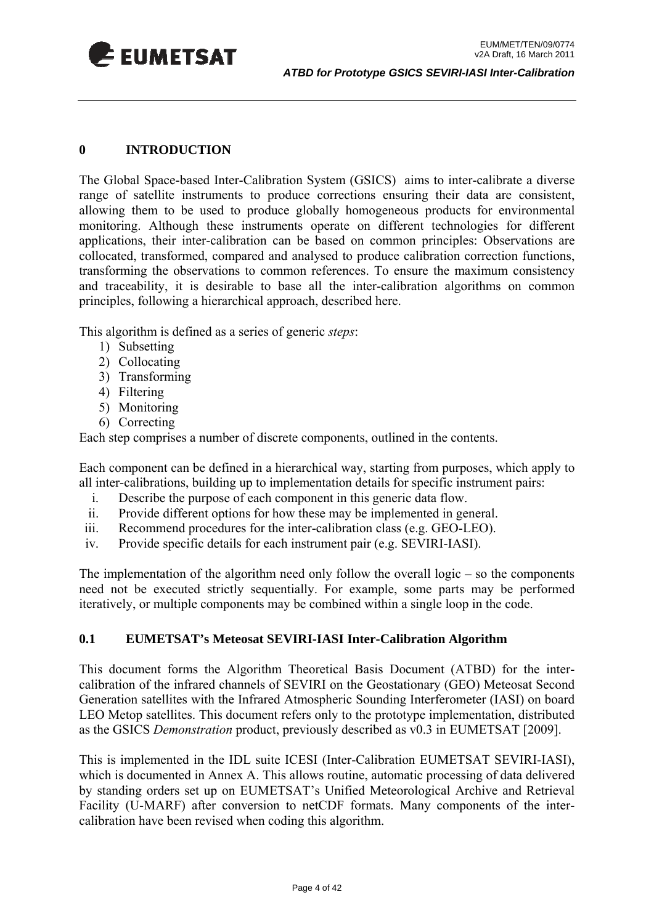<span id="page-3-0"></span>

#### **0 INTRODUCTION**

The Global Space-based Inter-Calibration System (GSICS) aims to inter-calibrate a diverse range of satellite instruments to produce corrections ensuring their data are consistent, allowing them to be used to produce globally homogeneous products for environmental monitoring. Although these instruments operate on different technologies for different applications, their inter-calibration can be based on common principles: Observations are collocated, transformed, compared and analysed to produce calibration correction functions, transforming the observations to common references. To ensure the maximum consistency and traceability, it is desirable to base all the inter-calibration algorithms on common principles, following a hierarchical approach, described here.

This algorithm is defined as a series of generic *steps*:

- 1) Subsetting
- 2) Collocating
- 3) Transforming
- 4) Filtering
- 5) Monitoring
- 6) Correcting

Each step comprises a number of discrete components, outlined in the contents.

Each component can be defined in a hierarchical way, starting from purposes, which apply to all inter-calibrations, building up to implementation details for specific instrument pairs:

- i. Describe the purpose of each component in this generic data flow.
- ii. Provide different options for how these may be implemented in general.
- iii. Recommend procedures for the inter-calibration class (e.g. GEO-LEO).
- iv. Provide specific details for each instrument pair (e.g. SEVIRI-IASI).

The implementation of the algorithm need only follow the overall logic – so the components need not be executed strictly sequentially. For example, some parts may be performed iteratively, or multiple components may be combined within a single loop in the code.

#### **0.1 EUMETSAT's Meteosat SEVIRI-IASI Inter-Calibration Algorithm**

This document forms the Algorithm Theoretical Basis Document (ATBD) for the intercalibration of the infrared channels of SEVIRI on the Geostationary (GEO) Meteosat Second Generation satellites with the Infrared Atmospheric Sounding Interferometer (IASI) on board LEO Metop satellites. This document refers only to the prototype implementation, distributed as the GSICS *Demonstration* product, previously described as v0.3 in EUMETSAT [2009].

This is implemented in the IDL suite ICESI (Inter-Calibration EUMETSAT SEVIRI-IASI), which is documented in Annex A. This allows routine, automatic processing of data delivered by standing orders set up on EUMETSAT's Unified Meteorological Archive and Retrieval Facility (U-MARF) after conversion to netCDF formats. Many components of the intercalibration have been revised when coding this algorithm.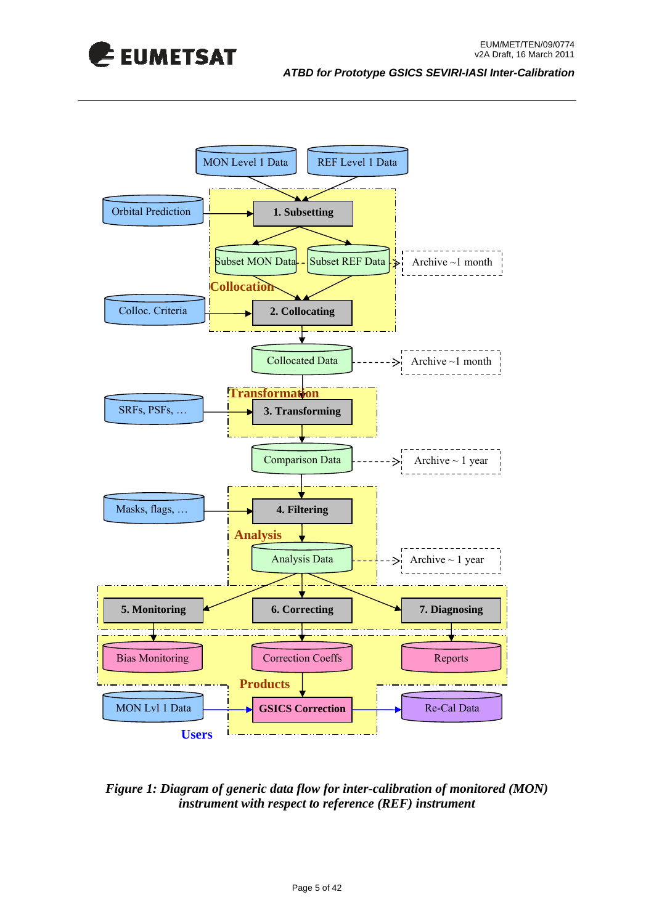



#### *Figure 1: Diagram of generic data flow for inter-calibration of monitored (MON) instrument with respect to reference (REF) instrument*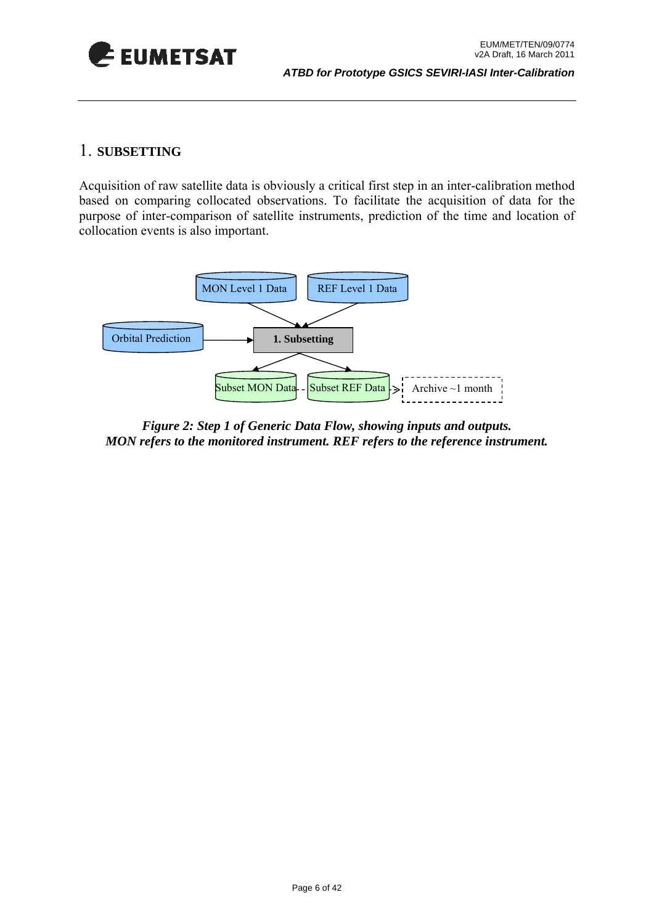<span id="page-5-0"></span>

#### 1. **SUBSETTING**

Acquisition of raw satellite data is obviously a critical first step in an inter-calibration method based on comparing collocated observations. To facilitate the acquisition of data for the purpose of inter-comparison of satellite instruments, prediction of the time and location of collocation events is also important.



*Figure 2: Step 1 of Generic Data Flow, showing inputs and outputs. MON refers to the monitored instrument. REF refers to the reference instrument.*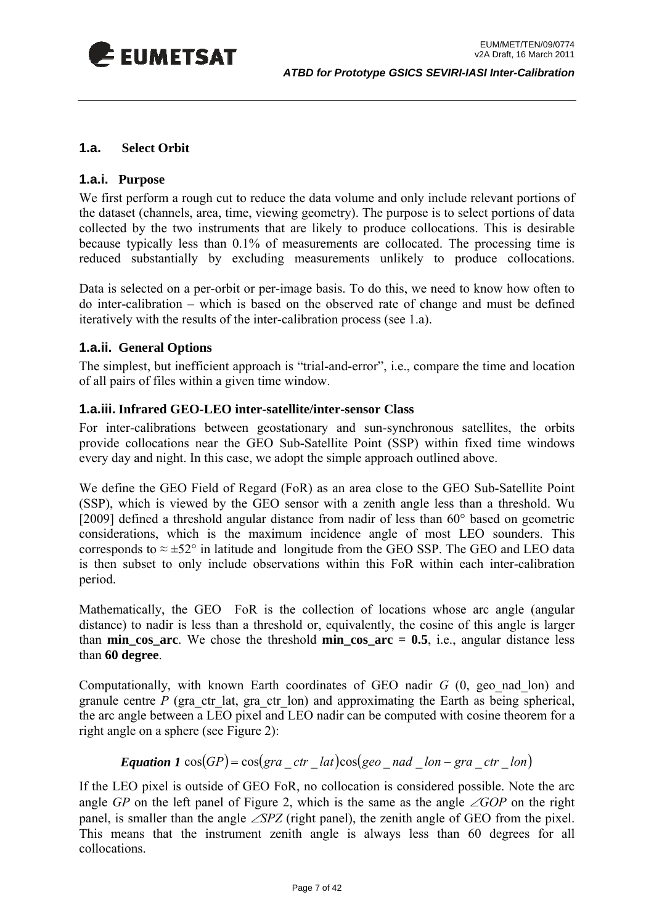<span id="page-6-0"></span>

#### **1.a. Select Orbit**

#### **1.a.i. Purpose**

We first perform a rough cut to reduce the data volume and only include relevant portions of the dataset (channels, area, time, viewing geometry). The purpose is to select portions of data collected by the two instruments that are likely to produce collocations. This is desirable because typically less than 0.1% of measurements are collocated. The processing time is reduced substantially by excluding measurements unlikely to produce collocations.

Data is selected on a per-orbit or per-image basis. To do this, we need to know how often to do inter-calibration – which is based on the observed rate of change and must be defined iteratively with the results of the inter-calibration process (see [1.a\)](#page-32-1).

#### **1.a.ii. General Options**

The simplest, but inefficient approach is "trial-and-error", i.e., compare the time and location of all pairs of files within a given time window.

#### **1.a.iii. Infrared GEO-LEO inter-satellite/inter-sensor Class**

For inter-calibrations between geostationary and sun-synchronous satellites, the orbits provide collocations near the GEO Sub-Satellite Point (SSP) within fixed time windows every day and night. In this case, we adopt the simple approach outlined above.

We define the GEO Field of Regard (FoR) as an area close to the GEO Sub-Satellite Point (SSP), which is viewed by the GEO sensor with a zenith angle less than a threshold. Wu [2009] defined a threshold angular distance from nadir of less than 60° based on geometric considerations, which is the maximum incidence angle of most LEO sounders. This corresponds to  $\approx \pm 52^{\circ}$  in latitude and longitude from the GEO SSP. The GEO and LEO data is then subset to only include observations within this FoR within each inter-calibration period.

Mathematically, the GEO FoR is the collection of locations whose arc angle (angular distance) to nadir is less than a threshold or, equivalently, the cosine of this angle is larger than **min\_cos\_arc**. We chose the threshold **min\_cos\_arc = 0.5**, i.e., angular distance less than **60 degree**.

Computationally, with known Earth coordinates of GEO nadir *G* (0, geo\_nad\_lon) and granule centre  $P$  (gra ctr lat, gra ctr lon) and approximating the Earth as being spherical, the arc angle between a LEO pixel and LEO nadir can be computed with cosine theorem for a right angle on a sphere (see [Figure 2\)](#page-7-0):

**Equation 1** 
$$
cos(GP) = cos(gra\_ctr\_lat)cos(geo\_nad\_lon - gra\_ctr\_lon)
$$

If the LEO pixel is outside of GEO FoR, no collocation is considered possible. Note the arc angle *GP* on the left panel of [Figure 2,](#page-7-0) which is the same as the angle ∠*GOP* on the right panel, is smaller than the angle ∠*SPZ* (right panel), the zenith angle of GEO from the pixel. This means that the instrument zenith angle is always less than 60 degrees for all collocations.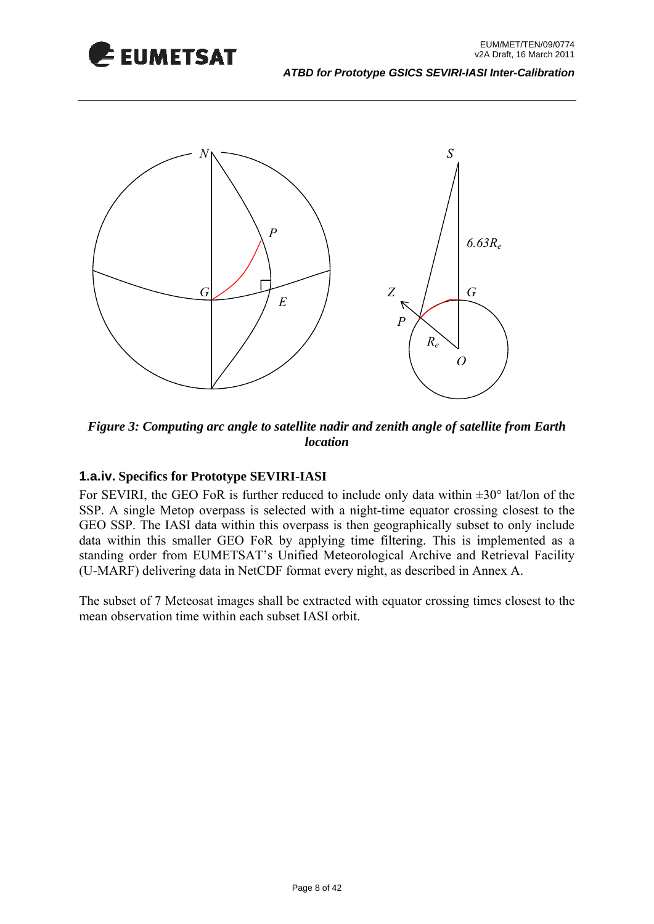



<span id="page-7-0"></span>*Figure 3: Computing arc angle to satellite nadir and zenith angle of satellite from Earth location* 

#### **1.a.iv. Specifics for Prototype SEVIRI-IASI**

For SEVIRI, the GEO FoR is further reduced to include only data within  $\pm 30^{\circ}$  lat/lon of the SSP. A single Metop overpass is selected with a night-time equator crossing closest to the GEO SSP. The IASI data within this overpass is then geographically subset to only include data within this smaller GEO FoR by applying time filtering. This is implemented as a standing order from EUMETSAT's Unified Meteorological Archive and Retrieval Facility (U-MARF) delivering data in NetCDF format every night, as described in Annex A.

The subset of 7 Meteosat images shall be extracted with equator crossing times closest to the mean observation time within each subset IASI orbit.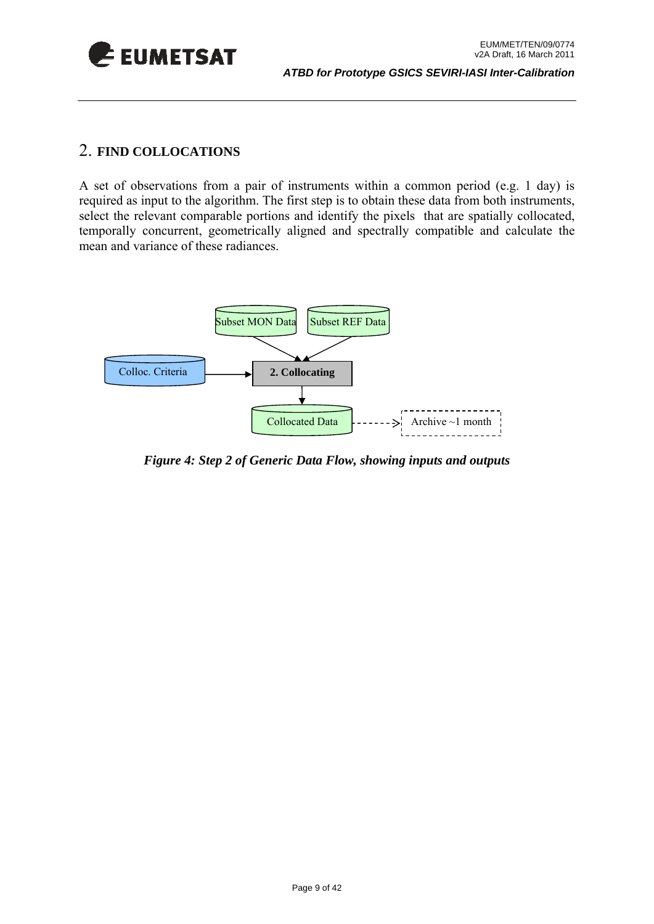<span id="page-8-0"></span>

#### 2. **FIND COLLOCATIONS**

A set of observations from a pair of instruments within a common period (e.g. 1 day) is required as input to the algorithm. The first step is to obtain these data from both instruments, select the relevant comparable portions and identify the pixels that are spatially collocated, temporally concurrent, geometrically aligned and spectrally compatible and calculate the mean and variance of these radiances.



*Figure 4: Step 2 of Generic Data Flow, showing inputs and outputs*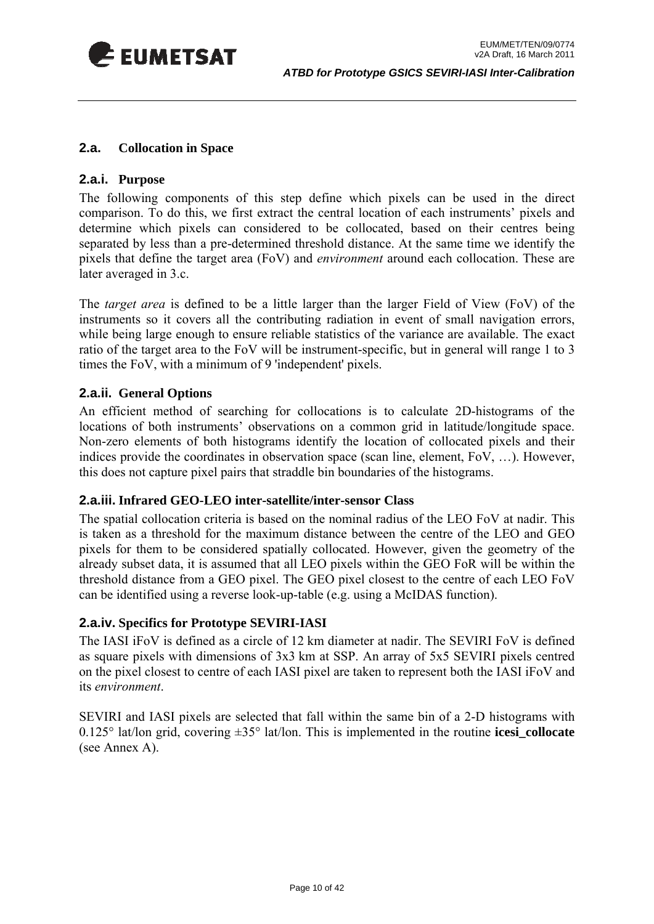<span id="page-9-0"></span>

#### <span id="page-9-1"></span>**2.a. Collocation in Space**

#### **2.a.i. Purpose**

The following components of this step define which pixels can be used in the direct comparison. To do this, we first extract the central location of each instruments' pixels and determine which pixels can considered to be collocated, based on their centres being separated by less than a pre-determined threshold distance. At the same time we identify the pixels that define the target area (FoV) and *environment* around each collocation. These are later averaged in [3.c](#page-17-1).

The *target area* is defined to be a little larger than the larger Field of View (FoV) of the instruments so it covers all the contributing radiation in event of small navigation errors, while being large enough to ensure reliable statistics of the variance are available. The exact ratio of the target area to the FoV will be instrument-specific, but in general will range 1 to 3 times the FoV, with a minimum of 9 'independent' pixels.

#### **2.a.ii. General Options**

An efficient method of searching for collocations is to calculate 2D-histograms of the locations of both instruments' observations on a common grid in latitude/longitude space. Non-zero elements of both histograms identify the location of collocated pixels and their indices provide the coordinates in observation space (scan line, element, FoV, …). However, this does not capture pixel pairs that straddle bin boundaries of the histograms.

#### **2.a.iii. Infrared GEO-LEO inter-satellite/inter-sensor Class**

The spatial collocation criteria is based on the nominal radius of the LEO FoV at nadir. This is taken as a threshold for the maximum distance between the centre of the LEO and GEO pixels for them to be considered spatially collocated. However, given the geometry of the already subset data, it is assumed that all LEO pixels within the GEO FoR will be within the threshold distance from a GEO pixel. The GEO pixel closest to the centre of each LEO FoV can be identified using a reverse look-up-table (e.g. using a McIDAS function).

#### **2.a.iv. Specifics for Prototype SEVIRI-IASI**

The IASI iFoV is defined as a circle of 12 km diameter at nadir. The SEVIRI FoV is defined as square pixels with dimensions of 3x3 km at SSP. An array of 5x5 SEVIRI pixels centred on the pixel closest to centre of each IASI pixel are taken to represent both the IASI iFoV and its *environment*.

SEVIRI and IASI pixels are selected that fall within the same bin of a 2-D histograms with 0.125 $\degree$  lat/lon grid, covering  $\pm 35\degree$  lat/lon. This is implemented in the routine **icesi** collocate (see Annex A).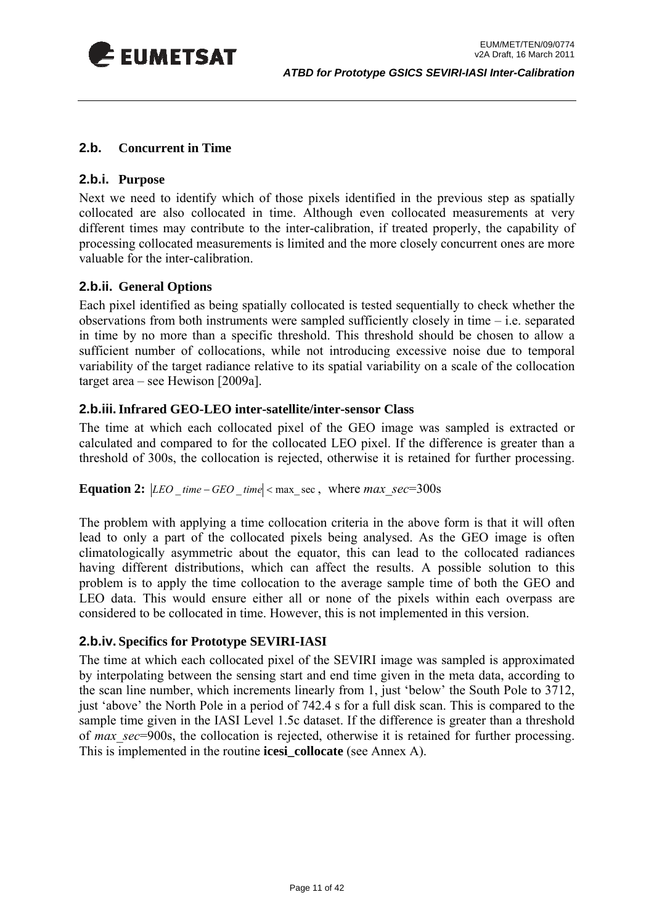<span id="page-10-0"></span>

#### **2.b. Concurrent in Time**

#### **2.b.i. Purpose**

Next we need to identify which of those pixels identified in the previous step as spatially collocated are also collocated in time. Although even collocated measurements at very different times may contribute to the inter-calibration, if treated properly, the capability of processing collocated measurements is limited and the more closely concurrent ones are more valuable for the inter-calibration.

#### **2.b.ii. General Options**

Each pixel identified as being spatially collocated is tested sequentially to check whether the observations from both instruments were sampled sufficiently closely in time – i.e. separated in time by no more than a specific threshold. This threshold should be chosen to allow a sufficient number of collocations, while not introducing excessive noise due to temporal variability of the target radiance relative to its spatial variability on a scale of the collocation target area – see Hewison [2009a].

#### **2.b.iii.Infrared GEO-LEO inter-satellite/inter-sensor Class**

The time at which each collocated pixel of the GEO image was sampled is extracted or calculated and compared to for the collocated LEO pixel. If the difference is greater than a threshold of 300s, the collocation is rejected, otherwise it is retained for further processing.

#### **Equation 2:**  $|LEO$  *time – GEO time*  $|$  < max sec, where *max* sec=300s

The problem with applying a time collocation criteria in the above form is that it will often lead to only a part of the collocated pixels being analysed. As the GEO image is often climatologically asymmetric about the equator, this can lead to the collocated radiances having different distributions, which can affect the results. A possible solution to this problem is to apply the time collocation to the average sample time of both the GEO and LEO data. This would ensure either all or none of the pixels within each overpass are considered to be collocated in time. However, this is not implemented in this version.

#### **2.b.iv. Specifics for Prototype SEVIRI-IASI**

The time at which each collocated pixel of the SEVIRI image was sampled is approximated by interpolating between the sensing start and end time given in the meta data, according to the scan line number, which increments linearly from 1, just 'below' the South Pole to 3712, just 'above' the North Pole in a period of 742.4 s for a full disk scan. This is compared to the sample time given in the IASI Level 1.5c dataset. If the difference is greater than a threshold of *max\_sec*=900s, the collocation is rejected, otherwise it is retained for further processing. This is implemented in the routine **icesi\_collocate** (see Annex A).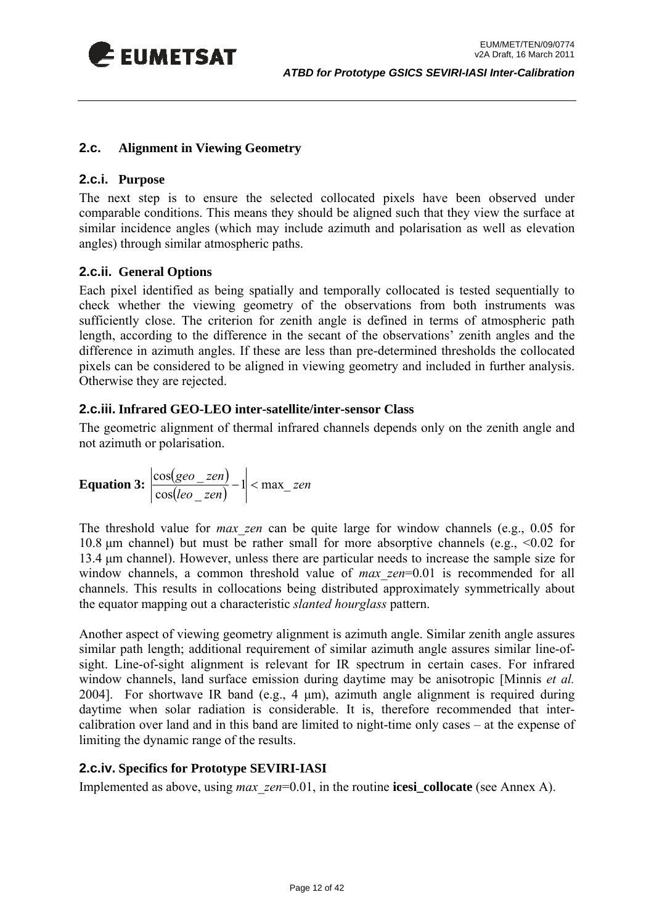<span id="page-11-0"></span>

#### <span id="page-11-1"></span>**2.c. Alignment in Viewing Geometry**

#### **2.c.i. Purpose**

The next step is to ensure the selected collocated pixels have been observed under comparable conditions. This means they should be aligned such that they view the surface at similar incidence angles (which may include azimuth and polarisation as well as elevation angles) through similar atmospheric paths.

#### **2.c.ii. General Options**

Each pixel identified as being spatially and temporally collocated is tested sequentially to check whether the viewing geometry of the observations from both instruments was sufficiently close. The criterion for zenith angle is defined in terms of atmospheric path length, according to the difference in the secant of the observations' zenith angles and the difference in azimuth angles. If these are less than pre-determined thresholds the collocated pixels can be considered to be aligned in viewing geometry and included in further analysis. Otherwise they are rejected.

#### **2.c.iii. Infrared GEO-LEO inter-satellite/inter-sensor Class**

The geometric alignment of thermal infrared channels depends only on the zenith angle and not azimuth or polarisation.

**Equation 3:** 
$$
\left| \frac{\cos(geo\_zen)}{\cos(leo\_zen)} - 1 \right| < \max\_zen
$$

The threshold value for *max\_zen* can be quite large for window channels (e.g., 0.05 for 10.8 μm channel) but must be rather small for more absorptive channels (e.g., <0.02 for 13.4 μm channel). However, unless there are particular needs to increase the sample size for window channels, a common threshold value of *max zen*=0.01 is recommended for all channels. This results in collocations being distributed approximately symmetrically about the equator mapping out a characteristic *slanted hourglass* pattern.

Another aspect of viewing geometry alignment is azimuth angle. Similar zenith angle assures similar path length; additional requirement of similar azimuth angle assures similar line-ofsight. Line-of-sight alignment is relevant for IR spectrum in certain cases. For infrared window channels, land surface emission during daytime may be anisotropic [Minnis *et al.* 2004]. For shortwave IR band (e.g., 4 μm), azimuth angle alignment is required during daytime when solar radiation is considerable. It is, therefore recommended that intercalibration over land and in this band are limited to night-time only cases – at the expense of limiting the dynamic range of the results.

#### **2.c.iv. Specifics for Prototype SEVIRI-IASI**

Implemented as above, using *max\_zen*=0.01, in the routine **icesi** collocate (see Annex A).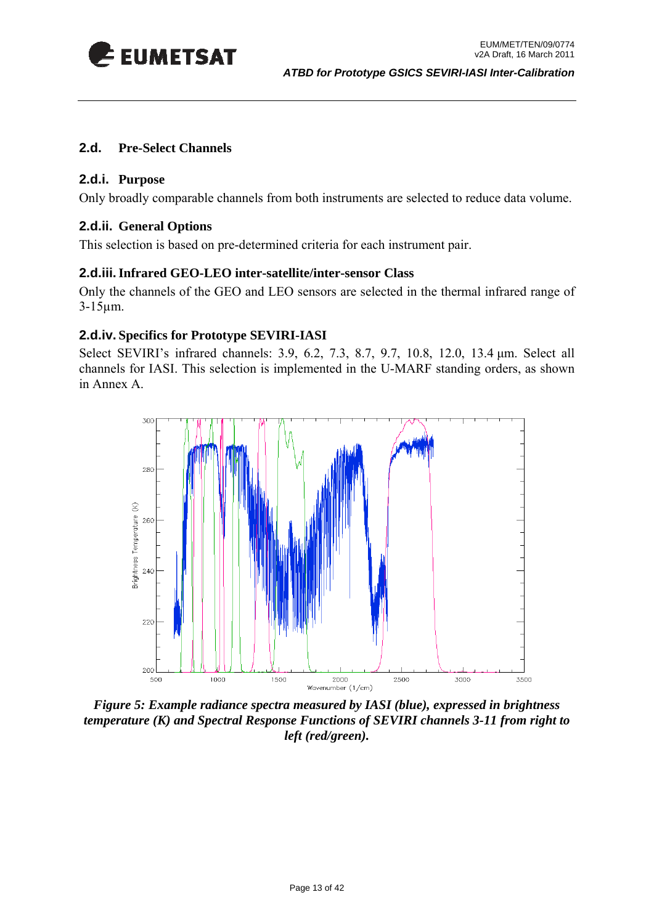<span id="page-12-0"></span>

#### **2.d. Pre-Select Channels**

#### **2.d.i. Purpose**

Only broadly comparable channels from both instruments are selected to reduce data volume.

#### **2.d.ii. General Options**

This selection is based on pre-determined criteria for each instrument pair.

#### **2.d.iii.Infrared GEO-LEO inter-satellite/inter-sensor Class**

Only the channels of the GEO and LEO sensors are selected in the thermal infrared range of 3-15µm.

#### **2.d.iv. Specifics for Prototype SEVIRI-IASI**

Select SEVIRI's infrared channels: 3.9, 6.2, 7.3, 8.7, 9.7, 10.8, 12.0, 13.4 μm. Select all channels for IASI. This selection is implemented in the U-MARF standing orders, as shown in Annex A.



*Figure 5: Example radiance spectra measured by IASI (blue), expressed in brightness temperature (K) and Spectral Response Functions of SEVIRI channels 3-11 from right to left (red/green).*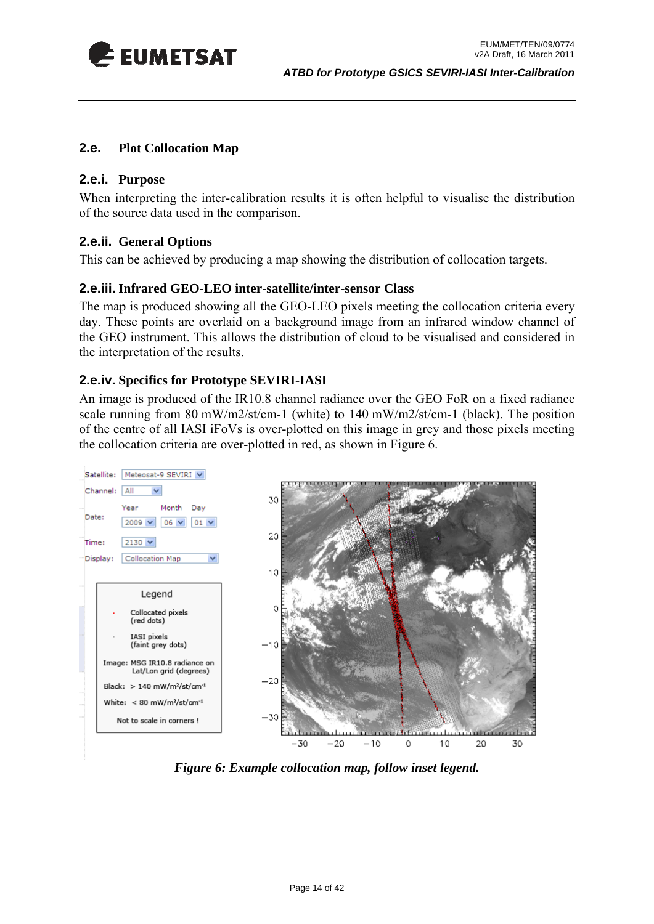<span id="page-13-0"></span>

#### **2.e. Plot Collocation Map**

#### **2.e.i. Purpose**

When interpreting the inter-calibration results it is often helpful to visualise the distribution of the source data used in the comparison.

#### **2.e.ii. General Options**

This can be achieved by producing a map showing the distribution of collocation targets.

#### **2.e.iii. Infrared GEO-LEO inter-satellite/inter-sensor Class**

The map is produced showing all the GEO-LEO pixels meeting the collocation criteria every day. These points are overlaid on a background image from an infrared window channel of the GEO instrument. This allows the distribution of cloud to be visualised and considered in the interpretation of the results.

#### **2.e.iv. Specifics for Prototype SEVIRI-IASI**

An image is produced of the IR10.8 channel radiance over the GEO FoR on a fixed radiance scale running from 80 mW/m2/st/cm-1 (white) to 140 mW/m2/st/cm-1 (black). The position of the centre of all IASI iFoVs is over-plotted on this image in grey and those pixels meeting the collocation criteria are over-plotted in red, as shown in [Figure 6.](#page-13-1)



<span id="page-13-1"></span>*Figure 6: Example collocation map, follow inset legend.*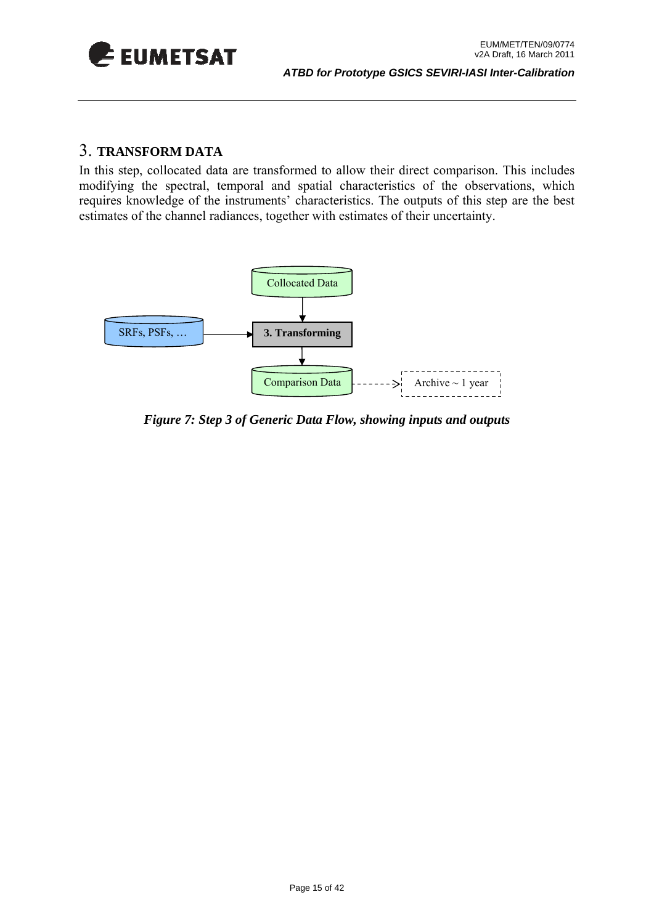<span id="page-14-0"></span>

#### 3. **TRANSFORM DATA**

In this step, collocated data are transformed to allow their direct comparison. This includes modifying the spectral, temporal and spatial characteristics of the observations, which requires knowledge of the instruments' characteristics. The outputs of this step are the best estimates of the channel radiances, together with estimates of their uncertainty.



*Figure 7: Step 3 of Generic Data Flow, showing inputs and outputs*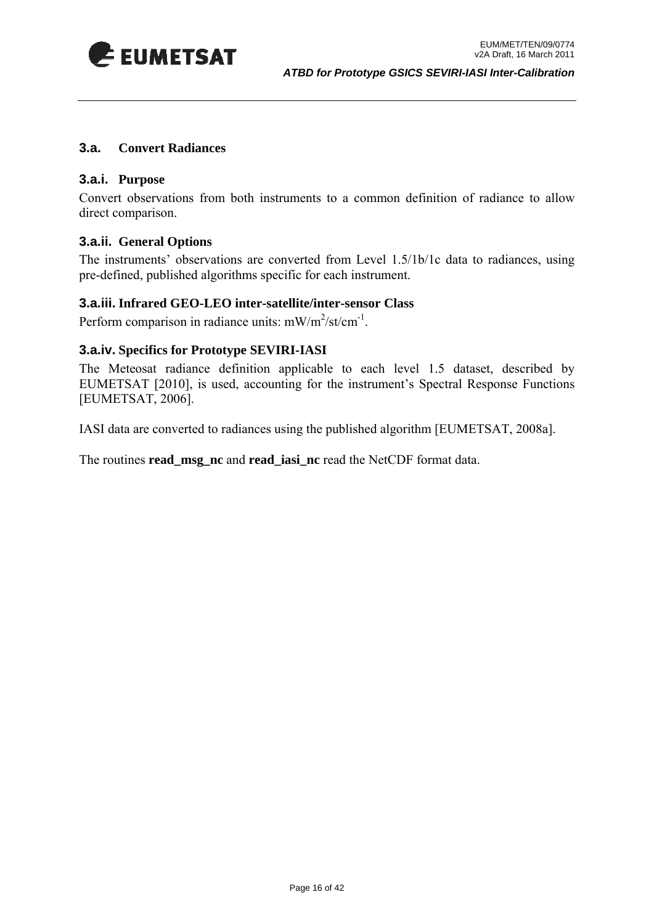<span id="page-15-0"></span>

#### **3.a. Convert Radiances**

#### **3.a.i. Purpose**

Convert observations from both instruments to a common definition of radiance to allow direct comparison.

#### **3.a.ii. General Options**

The instruments' observations are converted from Level 1.5/1b/1c data to radiances, using pre-defined, published algorithms specific for each instrument.

#### **3.a.iii. Infrared GEO-LEO inter-satellite/inter-sensor Class**

Perform comparison in radiance units:  $mW/m^2$ /st/cm<sup>-1</sup>.

#### **3.a.iv. Specifics for Prototype SEVIRI-IASI**

The Meteosat radiance definition applicable to each level 1.5 dataset, described by EUMETSAT [2010], is used, accounting for the instrument's Spectral Response Functions [EUMETSAT, 2006].

IASI data are converted to radiances using the published algorithm [EUMETSAT, 2008a].

The routines **read\_msg\_nc** and **read\_iasi\_nc** read the NetCDF format data.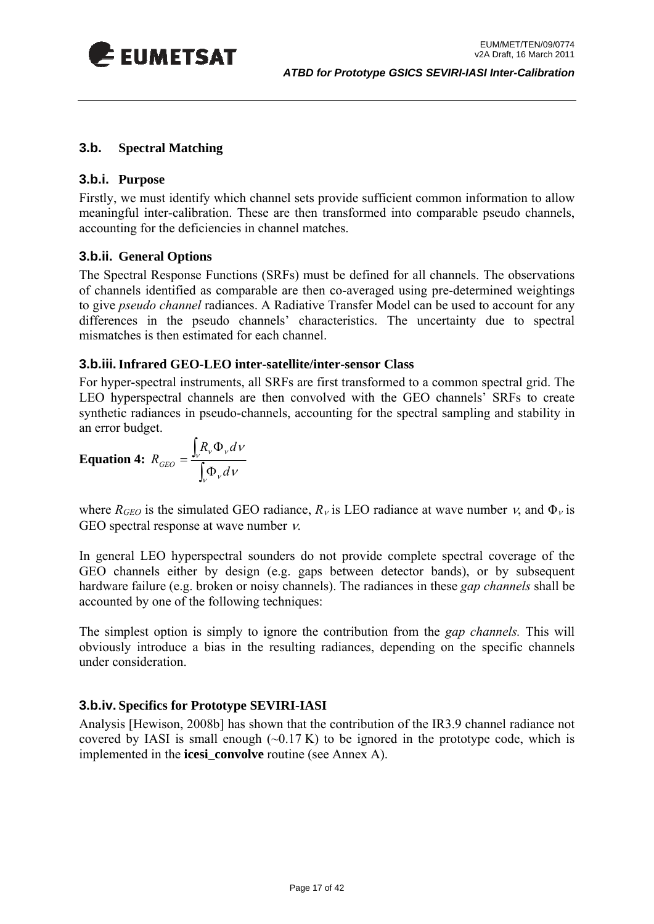<span id="page-16-0"></span>

#### **3.b. Spectral Matching**

#### **3.b.i. Purpose**

Firstly, we must identify which channel sets provide sufficient common information to allow meaningful inter-calibration. These are then transformed into comparable pseudo channels, accounting for the deficiencies in channel matches.

#### **3.b.ii. General Options**

The Spectral Response Functions (SRFs) must be defined for all channels. The observations of channels identified as comparable are then co-averaged using pre-determined weightings to give *pseudo channel* radiances. A Radiative Transfer Model can be used to account for any differences in the pseudo channels' characteristics. The uncertainty due to spectral mismatches is then estimated for each channel.

#### **3.b.iii.Infrared GEO-LEO inter-satellite/inter-sensor Class**

For hyper-spectral instruments, all SRFs are first transformed to a common spectral grid. The LEO hyperspectral channels are then convolved with the GEO channels' SRFs to create synthetic radiances in pseudo-channels, accounting for the spectral sampling and stability in an error budget.

**Equation 4:** 
$$
R_{GEO} = \frac{\int_{V} R_{V} \Phi_{V} dV}{\int_{V} \Phi_{V} dV}
$$

where  $R_{GEO}$  is the simulated GEO radiance,  $R_v$  is LEO radiance at wave number  $v$ , and  $\Phi_v$  is GEO spectral response at wave number ν.

In general LEO hyperspectral sounders do not provide complete spectral coverage of the GEO channels either by design (e.g. gaps between detector bands), or by subsequent hardware failure (e.g. broken or noisy channels). The radiances in these *gap channels* shall be accounted by one of the following techniques:

The simplest option is simply to ignore the contribution from the *gap channels.* This will obviously introduce a bias in the resulting radiances, depending on the specific channels under consideration.

#### **3.b.iv. Specifics for Prototype SEVIRI-IASI**

Analysis [Hewison, 2008b] has shown that the contribution of the IR3.9 channel radiance not covered by IASI is small enough  $(\sim 0.17 \text{ K})$  to be ignored in the prototype code, which is implemented in the **icesi\_convolve** routine (see Annex A).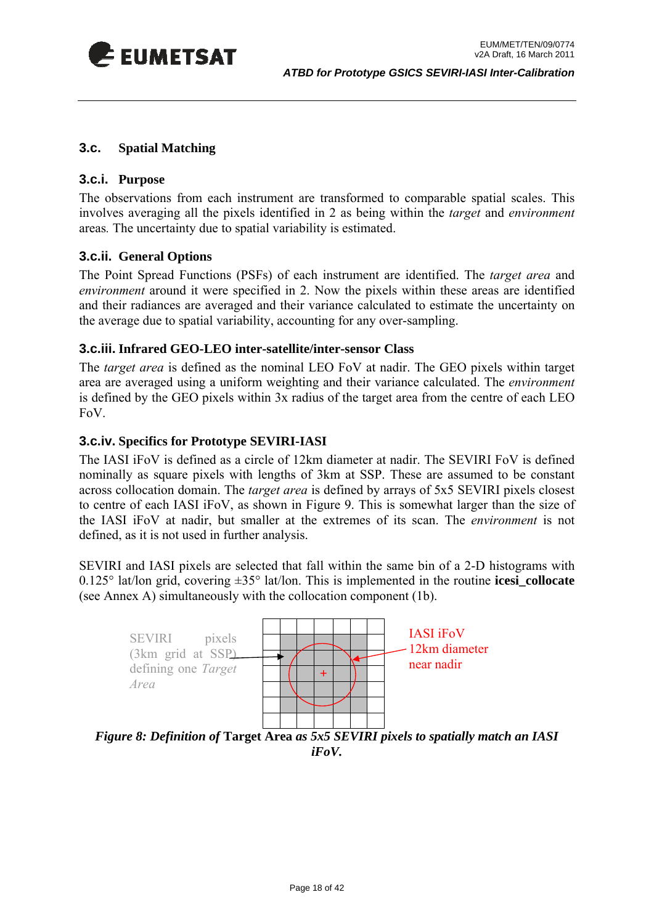<span id="page-17-0"></span>

#### <span id="page-17-1"></span>**3.c. Spatial Matching**

#### **3.c.i. Purpose**

The observations from each instrument are transformed to comparable spatial scales. This involves averaging all the pixels identified in [2](#page-9-1) as being within the *target* and *environment*  areas*.* The uncertainty due to spatial variability is estimated.

#### **3.c.ii. General Options**

The Point Spread Functions (PSFs) of each instrument are identified. The *target area* and *environment* around it were specified in [2](#page-9-1). Now the pixels within these areas are identified and their radiances are averaged and their variance calculated to estimate the uncertainty on the average due to spatial variability, accounting for any over-sampling.

#### **3.c.iii. Infrared GEO-LEO inter-satellite/inter-sensor Class**

The *target area* is defined as the nominal LEO FoV at nadir. The GEO pixels within target area are averaged using a uniform weighting and their variance calculated. The *environment* is defined by the GEO pixels within 3x radius of the target area from the centre of each LEO FoV.

#### **3.c.iv. Specifics for Prototype SEVIRI-IASI**

The IASI iFoV is defined as a circle of 12km diameter at nadir. The SEVIRI FoV is defined nominally as square pixels with lengths of 3km at SSP. These are assumed to be constant across collocation domain. The *target area* is defined by arrays of 5x5 SEVIRI pixels closest to centre of each IASI iFoV, as shown in [Figure 9.](#page-17-2) This is somewhat larger than the size of the IASI iFoV at nadir, but smaller at the extremes of its scan. The *environment* is not defined, as it is not used in further analysis.

SEVIRI and IASI pixels are selected that fall within the same bin of a 2-D histograms with 0.125° lat/lon grid, covering ±35° lat/lon. This is implemented in the routine **icesi\_collocate**  (see Annex A) simultaneously with the collocation component (1b).



<span id="page-17-2"></span>*Figure 8: Definition of* **Target Area** *as 5x5 SEVIRI pixels to spatially match an IASI iFoV.*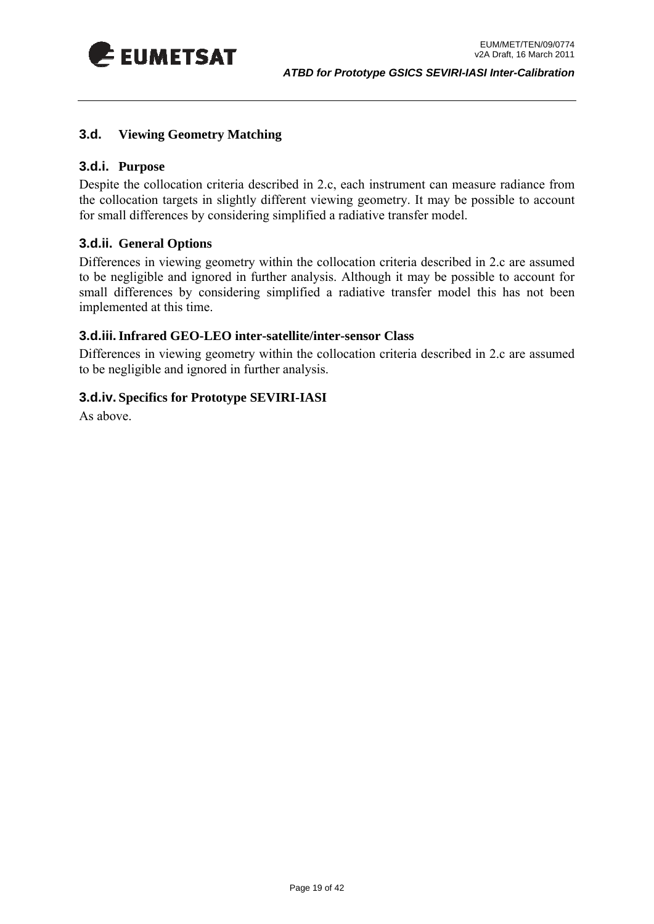<span id="page-18-0"></span>

#### **3.d. Viewing Geometry Matching**

#### **3.d.i. Purpose**

Despite the collocation criteria described in [2.c](#page-11-1), each instrument can measure radiance from the collocation targets in slightly different viewing geometry. It may be possible to account for small differences by considering simplified a radiative transfer model.

#### **3.d.ii. General Options**

Differences in viewing geometry within the collocation criteria described in [2.c](#page-11-1) are assumed to be negligible and ignored in further analysis. Although it may be possible to account for small differences by considering simplified a radiative transfer model this has not been implemented at this time.

#### **3.d.iii.Infrared GEO-LEO inter-satellite/inter-sensor Class**

Differences in viewing geometry within the collocation criteria described in [2.c](#page-11-1) are assumed to be negligible and ignored in further analysis.

#### **3.d.iv. Specifics for Prototype SEVIRI-IASI**

As above.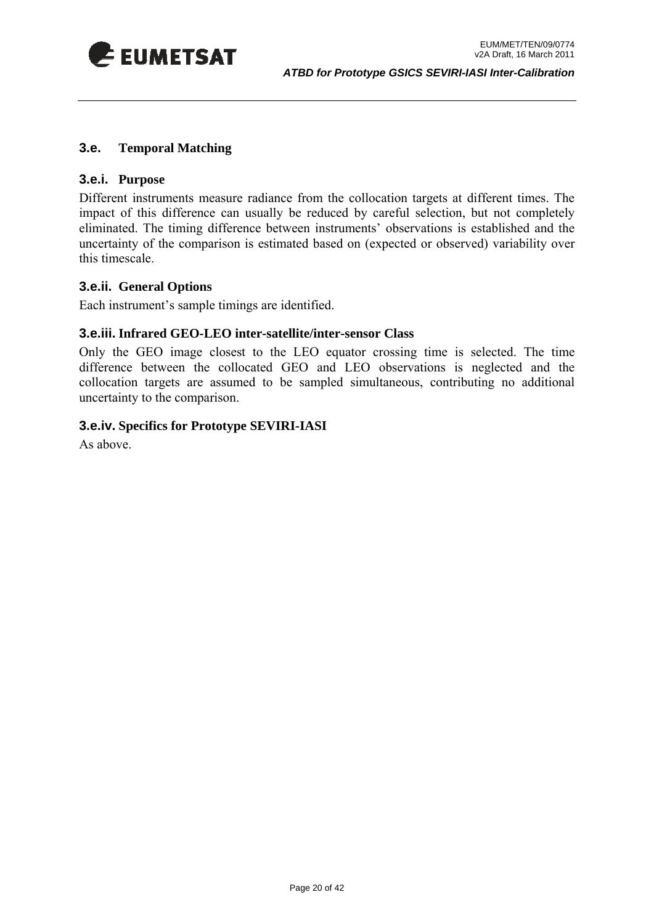<span id="page-19-0"></span>

#### **3.e. Temporal Matching**

#### **3.e.i. Purpose**

Different instruments measure radiance from the collocation targets at different times. The impact of this difference can usually be reduced by careful selection, but not completely eliminated. The timing difference between instruments' observations is established and the uncertainty of the comparison is estimated based on (expected or observed) variability over this timescale.

#### **3.e.ii. General Options**

Each instrument's sample timings are identified.

#### **3.e.iii. Infrared GEO-LEO inter-satellite/inter-sensor Class**

Only the GEO image closest to the LEO equator crossing time is selected. The time difference between the collocated GEO and LEO observations is neglected and the collocation targets are assumed to be sampled simultaneous, contributing no additional uncertainty to the comparison.

#### **3.e.iv. Specifics for Prototype SEVIRI-IASI**

As above.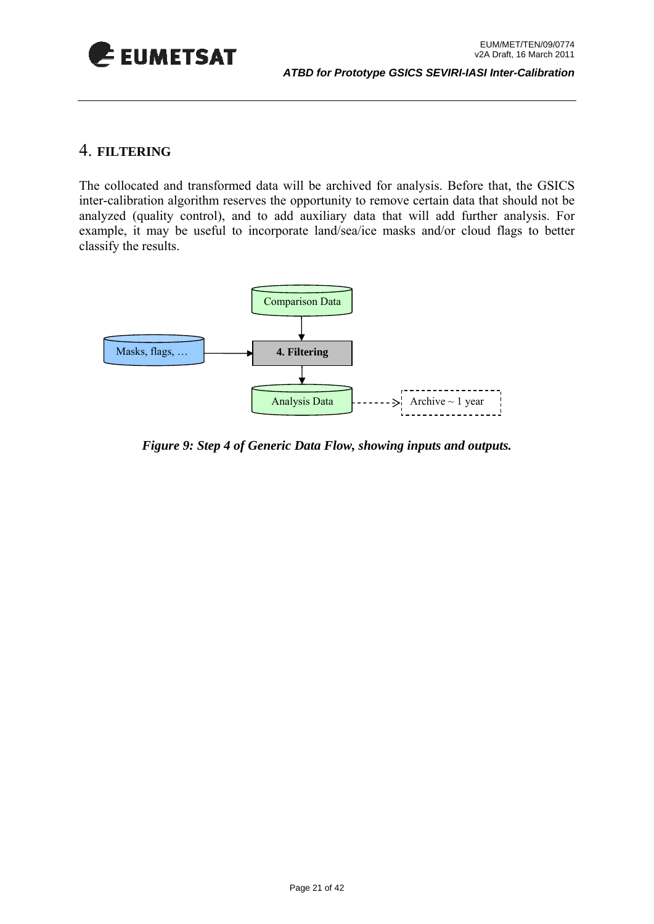<span id="page-20-0"></span>

#### 4. **FILTERING**

The collocated and transformed data will be archived for analysis. Before that, the GSICS inter-calibration algorithm reserves the opportunity to remove certain data that should not be analyzed (quality control), and to add auxiliary data that will add further analysis. For example, it may be useful to incorporate land/sea/ice masks and/or cloud flags to better classify the results.



*Figure 9: Step 4 of Generic Data Flow, showing inputs and outputs.*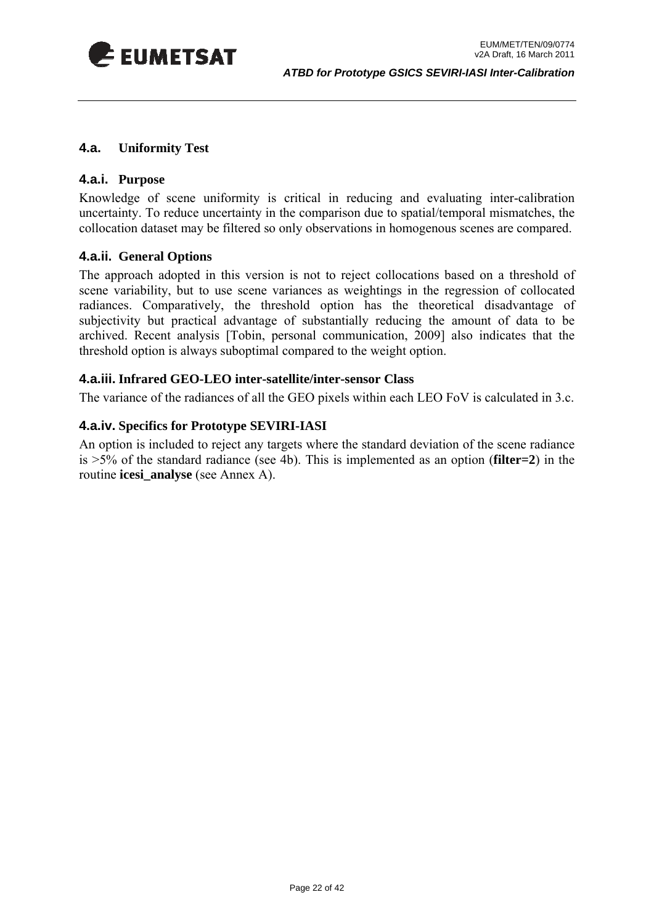<span id="page-21-0"></span>

#### **4.a. Uniformity Test**

#### **4.a.i. Purpose**

Knowledge of scene uniformity is critical in reducing and evaluating inter-calibration uncertainty. To reduce uncertainty in the comparison due to spatial/temporal mismatches, the collocation dataset may be filtered so only observations in homogenous scenes are compared.

#### **4.a.ii. General Options**

The approach adopted in this version is not to reject collocations based on a threshold of scene variability, but to use scene variances as weightings in the regression of collocated radiances. Comparatively, the threshold option has the theoretical disadvantage of subjectivity but practical advantage of substantially reducing the amount of data to be archived. Recent analysis [Tobin, personal communication, 2009] also indicates that the threshold option is always suboptimal compared to the weight option.

#### **4.a.iii. Infrared GEO-LEO inter-satellite/inter-sensor Class**

The variance of the radiances of all the GEO pixels within each LEO FoV is calculated in [3.c.](#page-17-1)

#### **4.a.iv. Specifics for Prototype SEVIRI-IASI**

An option is included to reject any targets where the standard deviation of the scene radiance is >5% of the standard radiance (see 4b). This is implemented as an option (**filter=2**) in the routine **icesi\_analyse** (see Annex A).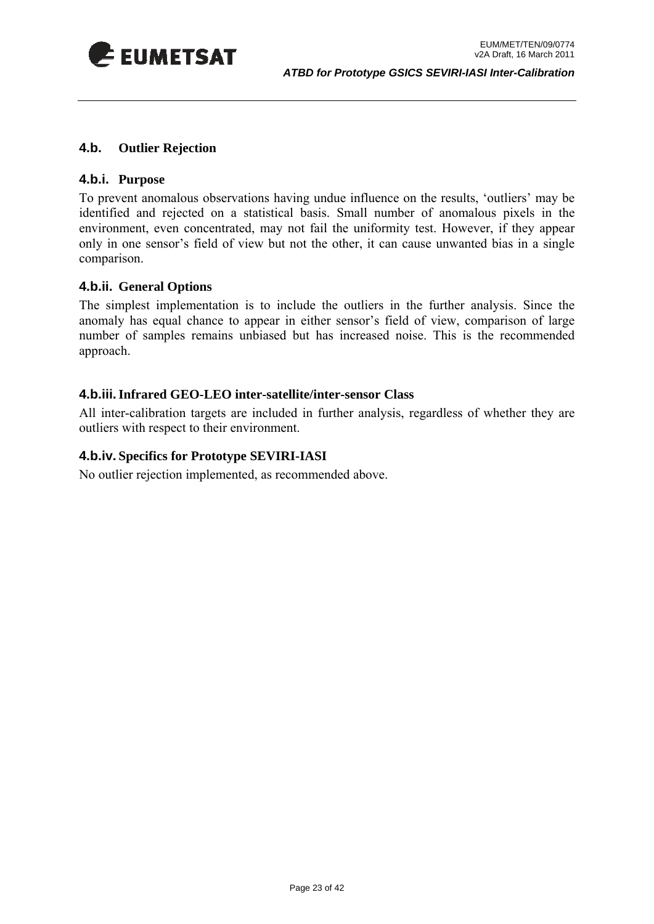<span id="page-22-0"></span>

#### **4.b. Outlier Rejection**

#### **4.b.i. Purpose**

To prevent anomalous observations having undue influence on the results, 'outliers' may be identified and rejected on a statistical basis. Small number of anomalous pixels in the environment, even concentrated, may not fail the uniformity test. However, if they appear only in one sensor's field of view but not the other, it can cause unwanted bias in a single comparison.

#### **4.b.ii. General Options**

The simplest implementation is to include the outliers in the further analysis. Since the anomaly has equal chance to appear in either sensor's field of view, comparison of large number of samples remains unbiased but has increased noise. This is the recommended approach.

#### **4.b.iii.Infrared GEO-LEO inter-satellite/inter-sensor Class**

All inter-calibration targets are included in further analysis, regardless of whether they are outliers with respect to their environment.

#### **4.b.iv. Specifics for Prototype SEVIRI-IASI**

No outlier rejection implemented, as recommended above.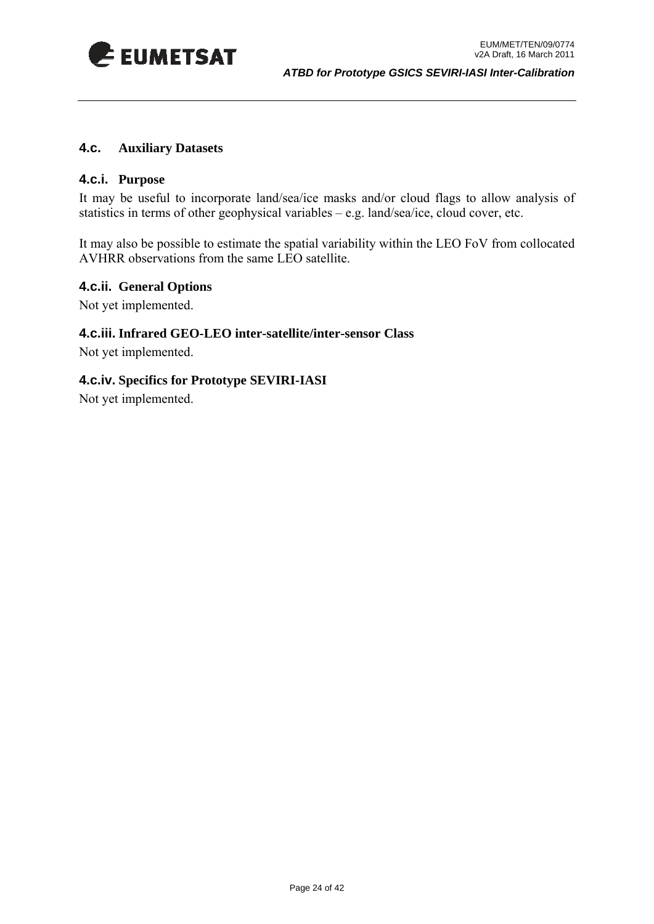<span id="page-23-0"></span>

#### **4.c. Auxiliary Datasets**

#### **4.c.i. Purpose**

It may be useful to incorporate land/sea/ice masks and/or cloud flags to allow analysis of statistics in terms of other geophysical variables – e.g. land/sea/ice, cloud cover, etc.

It may also be possible to estimate the spatial variability within the LEO FoV from collocated AVHRR observations from the same LEO satellite.

#### **4.c.ii. General Options**

Not yet implemented.

#### **4.c.iii. Infrared GEO-LEO inter-satellite/inter-sensor Class**

Not yet implemented.

#### **4.c.iv. Specifics for Prototype SEVIRI-IASI**

Not yet implemented.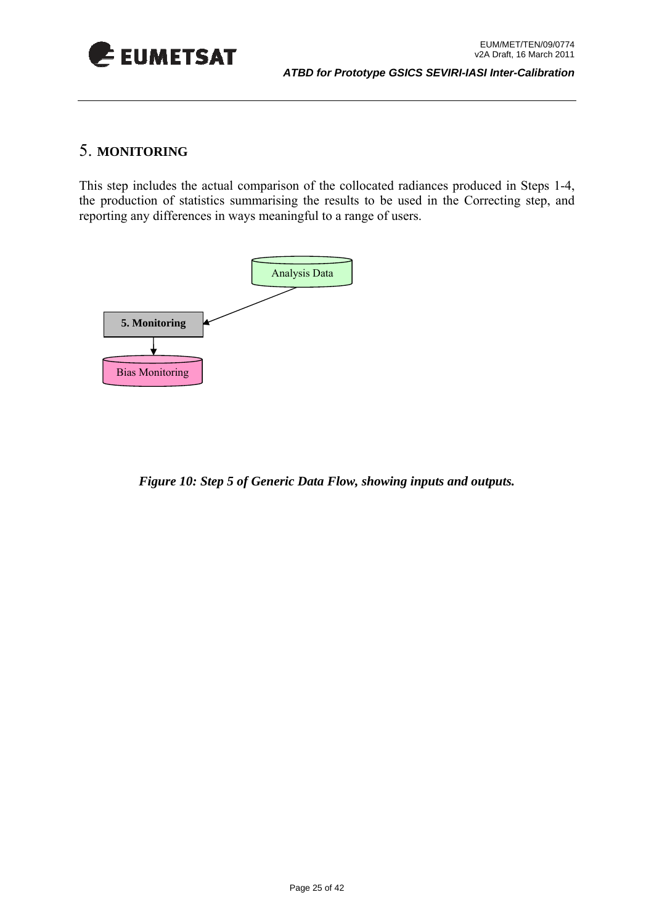<span id="page-24-0"></span>

### 5. **MONITORING**

This step includes the actual comparison of the collocated radiances produced in Steps 1-4, the production of statistics summarising the results to be used in the Correcting step, and reporting any differences in ways meaningful to a range of users.



*Figure 10: Step 5 of Generic Data Flow, showing inputs and outputs.*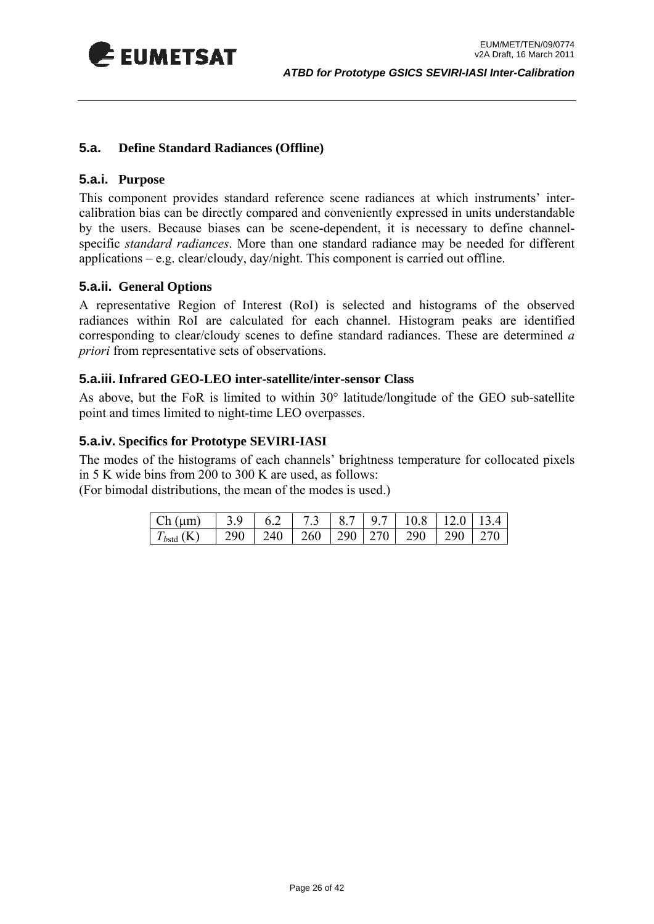<span id="page-25-0"></span>

#### <span id="page-25-1"></span>**5.a. Define Standard Radiances (Offline)**

#### **5.a.i. Purpose**

This component provides standard reference scene radiances at which instruments' intercalibration bias can be directly compared and conveniently expressed in units understandable by the users. Because biases can be scene-dependent, it is necessary to define channelspecific *standard radiances*. More than one standard radiance may be needed for different applications – e.g. clear/cloudy, day/night. This component is carried out offline.

#### **5.a.ii. General Options**

A representative Region of Interest (RoI) is selected and histograms of the observed radiances within RoI are calculated for each channel. Histogram peaks are identified corresponding to clear/cloudy scenes to define standard radiances. These are determined *a priori* from representative sets of observations.

#### **5.a.iii. Infrared GEO-LEO inter-satellite/inter-sensor Class**

As above, but the FoR is limited to within 30° latitude/longitude of the GEO sub-satellite point and times limited to night-time LEO overpasses.

#### **5.a.iv. Specifics for Prototype SEVIRI-IASI**

The modes of the histograms of each channels' brightness temperature for collocated pixels in 5 K wide bins from 200 to 300 K are used, as follows:

(For bimodal distributions, the mean of the modes is used.)

| Ch (µm)        | $\vert 3.9 \vert$ |  |  | $\begin{bmatrix} 6.2 & 7.3 & 8.7 & 9.7 & 10.8 & 12.0 & 13.4 \end{bmatrix}$ |  |
|----------------|-------------------|--|--|----------------------------------------------------------------------------|--|
| $T_{bstd}$ (K) |                   |  |  | 290   240   260   290   270   290   290   270                              |  |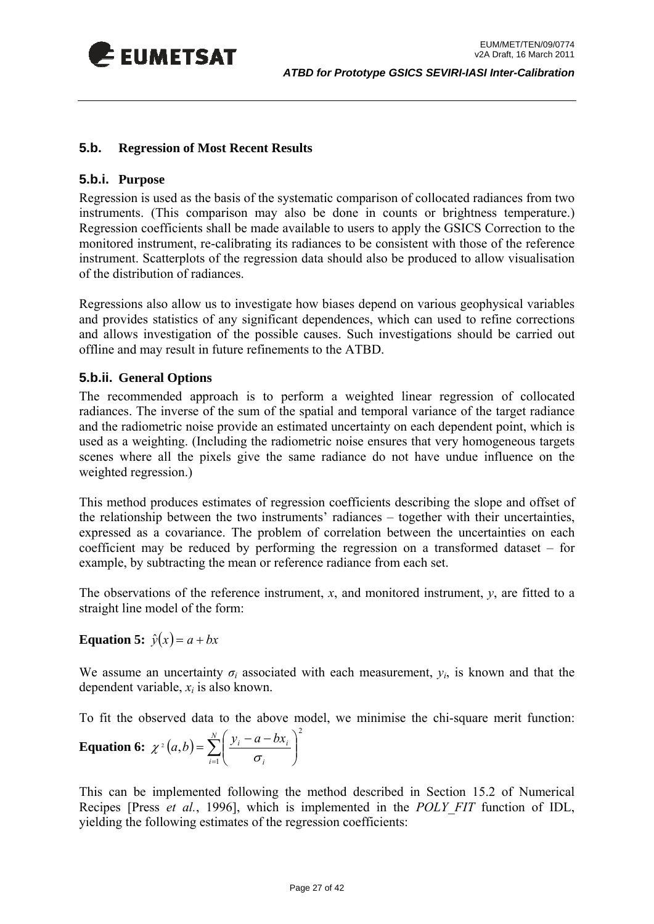<span id="page-26-0"></span>

#### <span id="page-26-2"></span>**5.b. Regression of Most Recent Results**

#### **5.b.i. Purpose**

Regression is used as the basis of the systematic comparison of collocated radiances from two instruments. (This comparison may also be done in counts or brightness temperature.) Regression coefficients shall be made available to users to apply the GSICS Correction to the monitored instrument, re-calibrating its radiances to be consistent with those of the reference instrument. Scatterplots of the regression data should also be produced to allow visualisation of the distribution of radiances.

Regressions also allow us to investigate how biases depend on various geophysical variables and provides statistics of any significant dependences, which can used to refine corrections and allows investigation of the possible causes. Such investigations should be carried out offline and may result in future refinements to the ATBD.

#### <span id="page-26-1"></span>**5.b.ii. General Options**

The recommended approach is to perform a weighted linear regression of collocated radiances. The inverse of the sum of the spatial and temporal variance of the target radiance and the radiometric noise provide an estimated uncertainty on each dependent point, which is used as a weighting. (Including the radiometric noise ensures that very homogeneous targets scenes where all the pixels give the same radiance do not have undue influence on the weighted regression.)

This method produces estimates of regression coefficients describing the slope and offset of the relationship between the two instruments' radiances – together with their uncertainties, expressed as a covariance. The problem of correlation between the uncertainties on each coefficient may be reduced by performing the regression on a transformed dataset – for example, by subtracting the mean or reference radiance from each set.

The observations of the reference instrument, *x*, and monitored instrument, *y*, are fitted to a straight line model of the form:

**Equation 5:**  $\hat{y}(x) = a + bx$ 

We assume an uncertainty  $\sigma_i$  associated with each measurement,  $y_i$ , is known and that the dependent variable, *xi* is also known.

To fit the observed data to the above model, we minimise the chi-square merit function:

**Equation 6:** 
$$
\chi^2(a,b) = \sum_{i=1}^N \left( \frac{y_i - a - bx_i}{\sigma_i} \right)^2
$$

This can be implemented following the method described in Section 15.2 of Numerical Recipes [Press *et al.*, 1996], which is implemented in the *POLY\_FIT* function of IDL, yielding the following estimates of the regression coefficients: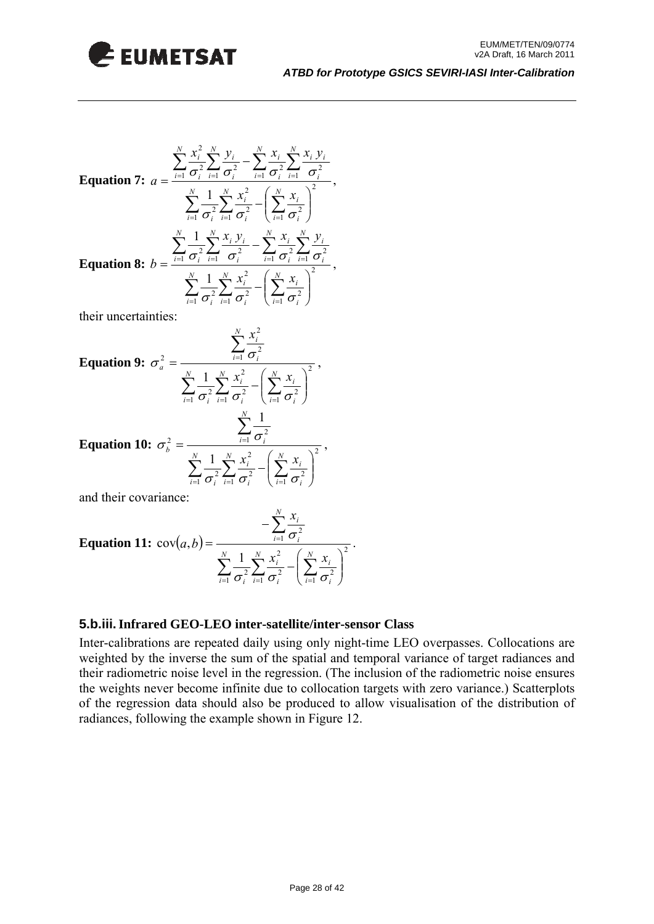

Equation 7: 

\n
$$
a = \frac{\sum_{i=1}^{N} \frac{x_i^2}{\sigma_i^2} \sum_{i=1}^{N} \frac{y_i}{\sigma_i^2} - \sum_{i=1}^{N} \frac{x_i}{\sigma_i^2} \sum_{i=1}^{N} \frac{x_i}{\sigma_i^2}}{\sigma_i^2} - \left(\sum_{i=1}^{N} \frac{x_i}{\sigma_i^2}\right)^2},
$$
\nEquation 8: 

\n
$$
b = \frac{\sum_{i=1}^{N} \frac{1}{\sigma_i^2} \sum_{i=1}^{N} \frac{x_i}{\sigma_i^2} - \sum_{i=1}^{N} \frac{x_i}{\sigma_i^2} \sum_{i=1}^{N} \frac{y_i}{\sigma_i^2}}{\sigma_i^2} - \sum_{i=1}^{N} \frac{x_i}{\sigma_i^2} \sum_{i=1}^{N} \frac{y_i}{\sigma_i^2}},
$$

their uncertainties:

Equation 9: 
$$
\sigma_a^2 = \frac{\sum_{i=1}^N \frac{x_i^2}{\sigma_i^2}}{\sum_{i=1}^N \frac{1}{\sigma_i^2} \sum_{i=1}^N \frac{x_i^2}{\sigma_i^2} - (\sum_{i=1}^N \frac{x_i}{\sigma_i^2})^2}
$$
,  
\nEquation 10:  $\sigma_b^2 = \frac{\sum_{i=1}^N \frac{1}{\sigma_i^2}}{\sum_{i=1}^N \frac{1}{\sigma_i^2} \sum_{i=1}^N \frac{x_i^2}{\sigma_i^2} - (\sum_{i=1}^N \frac{x_i}{\sigma_i^2})^2}$ ,

and their covariance:

**Equation 11:** 
$$
cov(a, b) = \frac{-\sum_{i=1}^{N} \frac{x_i}{\sigma_i^2}}{\sum_{i=1}^{N} \frac{1}{\sigma_i^2} \sum_{i=1}^{N} \frac{x_i^2}{\sigma_i^2} - \left(\sum_{i=1}^{N} \frac{x_i}{\sigma_i^2}\right)^2}
$$
.

 $i=1$   $\sigma_i$ 

 $\overline{c_i}$   $\sigma_i$   $\overline{c_i}$   $\sigma_i$   $\overline{c_i}$   $\sigma$ 

#### **5.b.iii.Infrared GEO-LEO inter-satellite/inter-sensor Class**

⎝

Inter-calibrations are repeated daily using only night-time LEO overpasses. Collocations are weighted by the inverse the sum of the spatial and temporal variance of target radiances and their radiometric noise level in the regression. (The inclusion of the radiometric noise ensures the weights never become infinite due to collocation targets with zero variance.) Scatterplots of the regression data should also be produced to allow visualisation of the distribution of radiances, following the example shown in [Figure 12](#page-28-0).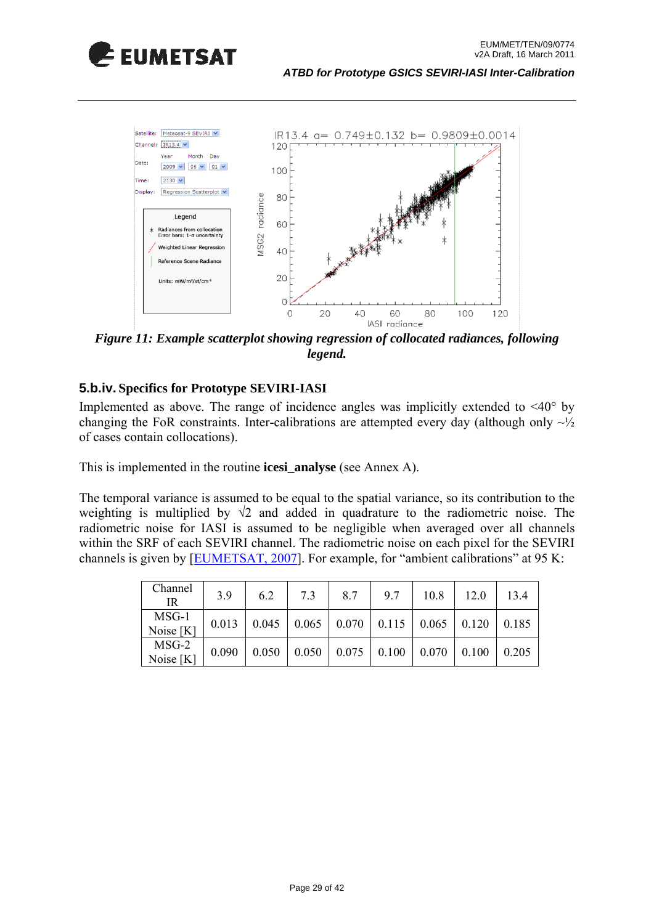



<span id="page-28-0"></span>*Figure 11: Example scatterplot showing regression of collocated radiances, following legend.* 

#### **5.b.iv. Specifics for Prototype SEVIRI-IASI**

Implemented as above. The range of incidence angles was implicitly extended to <40° by changing the FoR constraints. Inter-calibrations are attempted every day (although only  $\sim\frac{1}{2}$ ) of cases contain collocations).

This is implemented in the routine **icesi\_analyse** (see Annex A).

The temporal variance is assumed to be equal to the spatial variance, so its contribution to the weighting is multiplied by  $\sqrt{2}$  and added in quadrature to the radiometric noise. The radiometric noise for IASI is assumed to be negligible when averaged over all channels within the SRF of each SEVIRI channel. The radiometric noise on each pixel for the SEVIRI channels is given by [[EUMETSAT, 2007\]](http://www.eumetsat.int/idcplg?IdcService=GET_FILE&dDocName=pdf_typ_radiomet_acc_msg-1-2&RevisionSelectionMethod=LatestReleased). For example, for "ambient calibrations" at 95 K:

| Channel<br>IR        | 3.9   | 6.2   | 7.3   | 8.7           | 9.7                                               | 10.8  | 12.0  | 13.4  |
|----------------------|-------|-------|-------|---------------|---------------------------------------------------|-------|-------|-------|
| MSG-1<br>Noise [K]   | 0.013 | 0.045 |       |               | $\vert 0.065 \vert 0.070 \vert 0.115 \vert 0.065$ |       | 0.120 | 0.185 |
| $MSG-2$<br>Noise [K] | 0.090 | 0.050 | 0.050 | $0.075$ 0.100 |                                                   | 0.070 | 0.100 | 0.205 |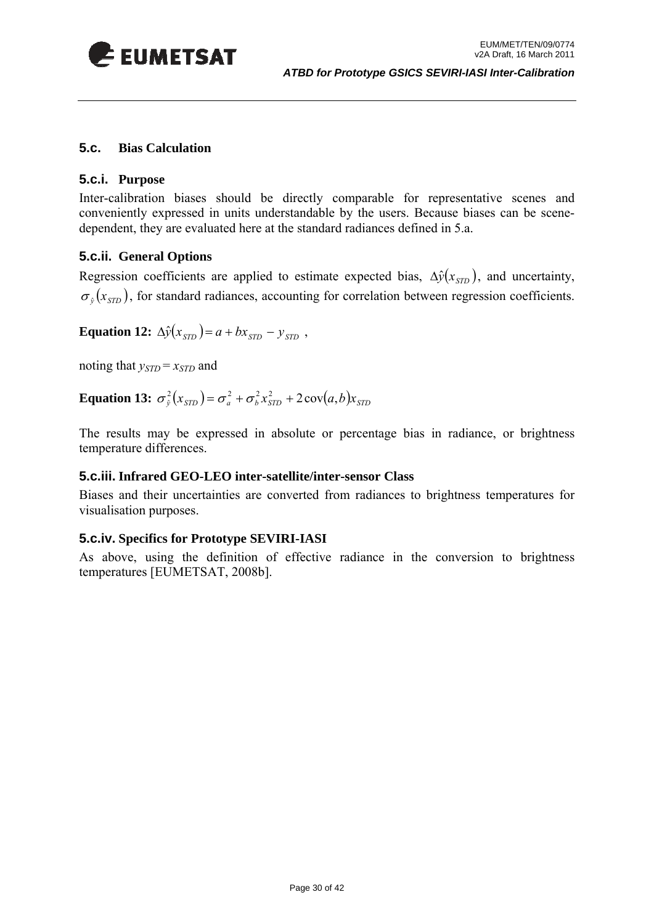<span id="page-29-0"></span>

#### <span id="page-29-1"></span>**5.c. Bias Calculation**

#### **5.c.i. Purpose**

Inter-calibration biases should be directly comparable for representative scenes and conveniently expressed in units understandable by the users. Because biases can be scenedependent, they are evaluated here at the standard radiances defined in [5.a](#page-25-1).

#### **5.c.ii. General Options**

Regression coefficients are applied to estimate expected bias,  $\Delta \hat{y}(x_{\text{STD}})$ , and uncertainty,  $\sigma_{\hat{v}}(x_{\text{syn}})$ , for standard radiances, accounting for correlation between regression coefficients.

**Equation 12:**  $\Delta \hat{y}(x_{\text{STD}}) = a + bx_{\text{STD}} - y_{\text{STD}}$ ,

noting that  $y_{STD} = x_{STD}$  and

**Equation 13:**  $\sigma_{\hat{y}}^2(x_{\text{STD}}) = \sigma_a^2 + \sigma_b^2 x_{\text{STD}}^2 + 2 \cos(a, b) x_{\text{STD}}$ 

The results may be expressed in absolute or percentage bias in radiance, or brightness temperature differences.

#### **5.c.iii. Infrared GEO-LEO inter-satellite/inter-sensor Class**

Biases and their uncertainties are converted from radiances to brightness temperatures for visualisation purposes.

#### **5.c.iv. Specifics for Prototype SEVIRI-IASI**

As above, using the definition of effective radiance in the conversion to brightness temperatures [EUMETSAT, 2008b].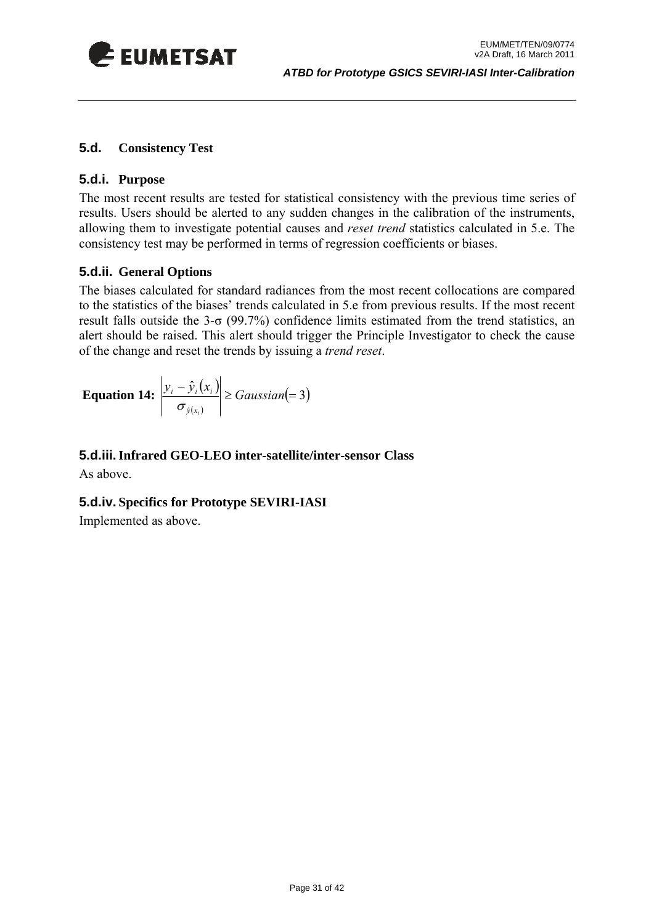<span id="page-30-0"></span>

#### **5.d. Consistency Test**

#### **5.d.i. Purpose**

The most recent results are tested for statistical consistency with the previous time series of results. Users should be alerted to any sudden changes in the calibration of the instruments, allowing them to investigate potential causes and *reset trend* statistics calculated in [5.e.](#page-31-1) The consistency test may be performed in terms of regression coefficients or biases.

#### **5.d.ii. General Options**

The biases calculated for standard radiances from the most recent collocations are compared to the statistics of the biases' trends calculated in [5.e](#page-31-1) from previous results. If the most recent result falls outside the  $3-\sigma$  (99.7%) confidence limits estimated from the trend statistics, an alert should be raised. This alert should trigger the Principle Investigator to check the cause of the change and reset the trends by issuing a *trend reset*.

**Equation 14:** 
$$
\left| \frac{y_i - \hat{y}_i(x_i)}{\sigma_{\hat{y}(x_i)}} \right| \geq Gaussian(=3)
$$

#### **5.d.iii.Infrared GEO-LEO inter-satellite/inter-sensor Class**

As above.

#### **5.d.iv. Specifics for Prototype SEVIRI-IASI**

Implemented as above.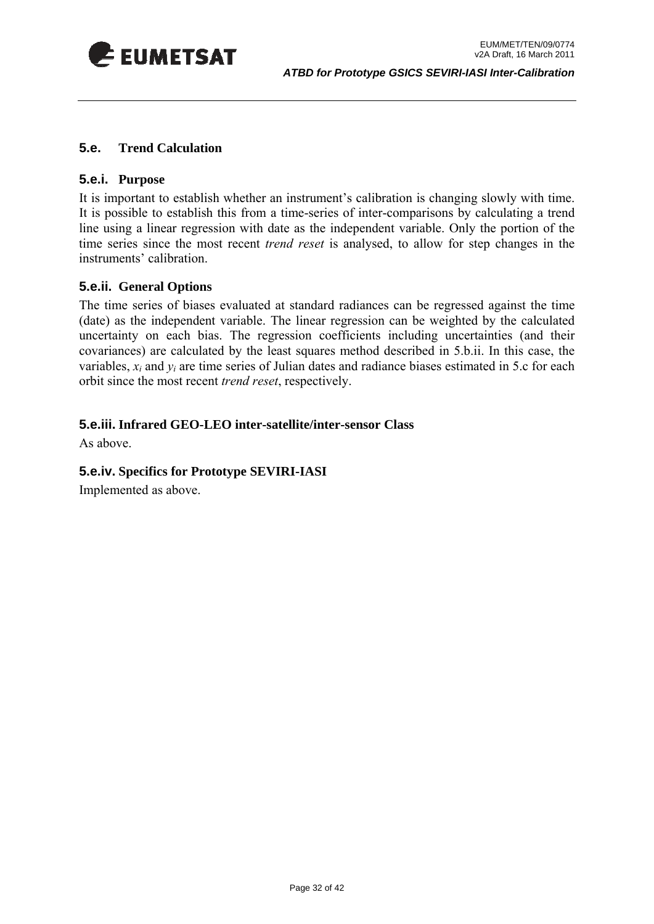<span id="page-31-0"></span>

#### <span id="page-31-1"></span>**5.e. Trend Calculation**

#### **5.e.i. Purpose**

It is important to establish whether an instrument's calibration is changing slowly with time. It is possible to establish this from a time-series of inter-comparisons by calculating a trend line using a linear regression with date as the independent variable. Only the portion of the time series since the most recent *trend reset* is analysed, to allow for step changes in the instruments' calibration.

#### <span id="page-31-2"></span>**5.e.ii. General Options**

The time series of biases evaluated at standard radiances can be regressed against the time (date) as the independent variable. The linear regression can be weighted by the calculated uncertainty on each bias. The regression coefficients including uncertainties (and their covariances) are calculated by the least squares method described in [5.b.ii.](#page-26-1) In this case, the variables,  $x_i$  and  $y_i$  are time series of Julian dates and radiance biases estimated in [5.c](#page-29-1) for each orbit since the most recent *trend reset*, respectively.

#### **5.e.iii. Infrared GEO-LEO inter-satellite/inter-sensor Class**

As above.

#### **5.e.iv. Specifics for Prototype SEVIRI-IASI**

Implemented as above.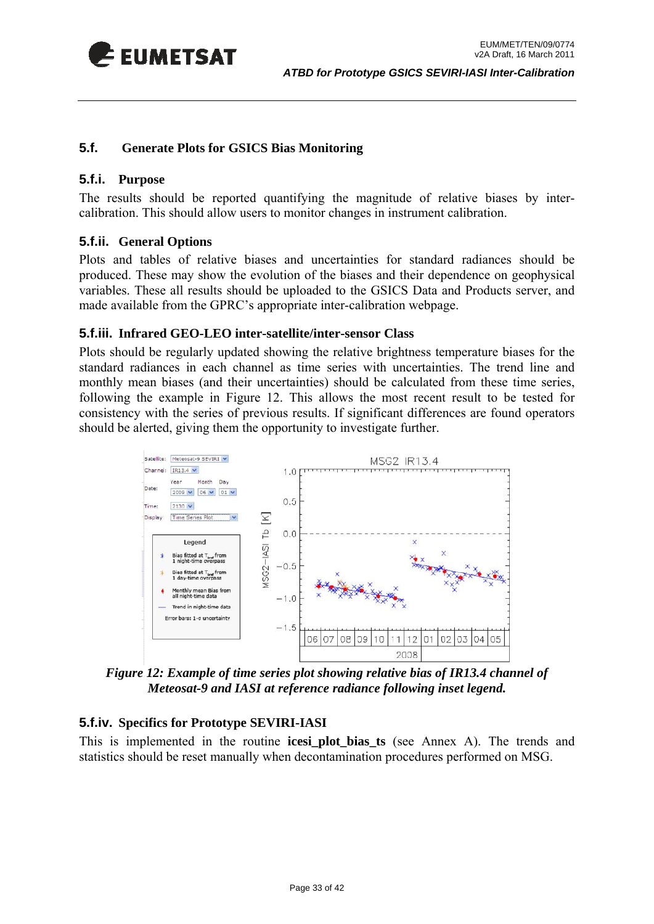<span id="page-32-0"></span>

#### <span id="page-32-1"></span>**5.f. Generate Plots for GSICS Bias Monitoring**

#### **5.f.i. Purpose**

The results should be reported quantifying the magnitude of relative biases by intercalibration. This should allow users to monitor changes in instrument calibration.

#### **5.f.ii. General Options**

Plots and tables of relative biases and uncertainties for standard radiances should be produced. These may show the evolution of the biases and their dependence on geophysical variables. These all results should be uploaded to the GSICS Data and Products server, and made available from the GPRC's appropriate inter-calibration webpage.

#### **5.f.iii. Infrared GEO-LEO inter-satellite/inter-sensor Class**

Plots should be regularly updated showing the relative brightness temperature biases for the standard radiances in each channel as time series with uncertainties. The trend line and monthly mean biases (and their uncertainties) should be calculated from these time series, following the example in [Figure 12.](#page-32-2) This allows the most recent result to be tested for consistency with the series of previous results. If significant differences are found operators should be alerted, giving them the opportunity to investigate further.



*Figure 12: Example of time series plot showing relative bias of IR13.4 channel of Meteosat-9 and IASI at reference radiance following inset legend.* 

#### <span id="page-32-2"></span>**5.f.iv. Specifics for Prototype SEVIRI-IASI**

This is implemented in the routine **icesi\_plot\_bias\_ts** (see Annex A). The trends and statistics should be reset manually when decontamination procedures performed on MSG.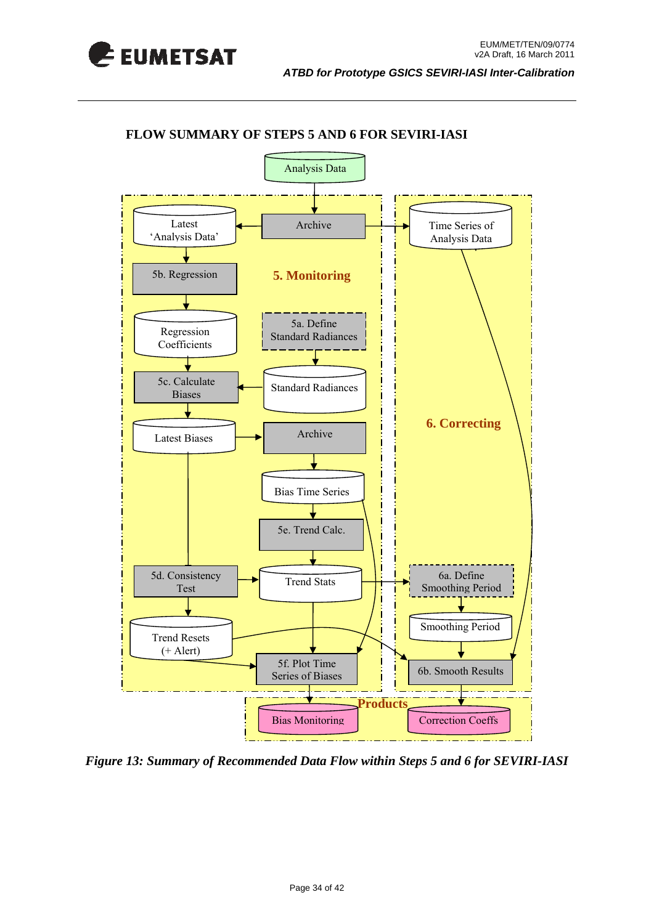



#### **FLOW SUMMARY OF STEPS 5 AND 6 FOR SEVIRI-IASI**

 *Figure 13: Summary of Recommended Data Flow within Steps 5 and 6 for SEVIRI-IASI*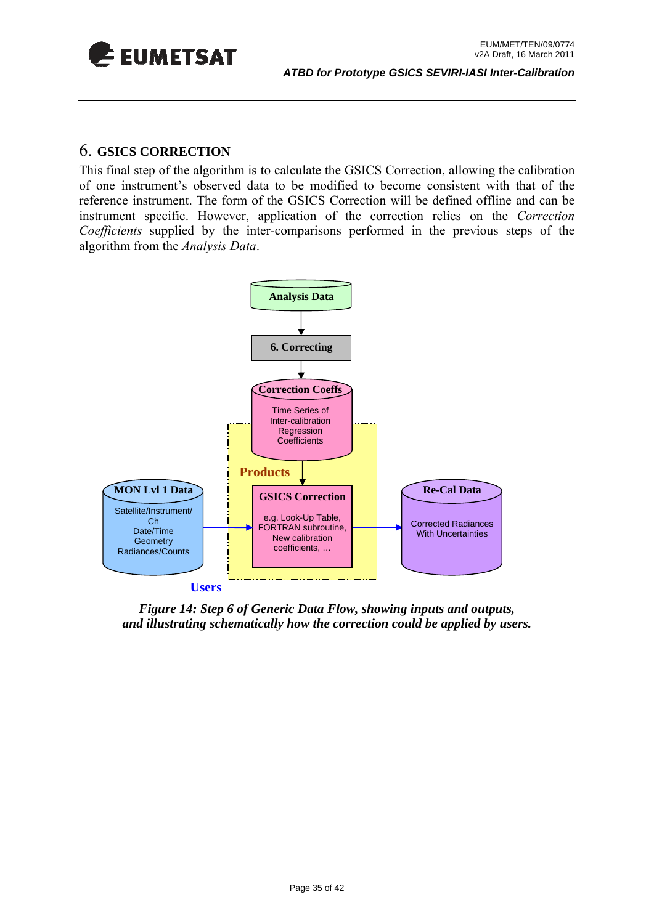<span id="page-34-0"></span>

### 6. **GSICS CORRECTION**

This final step of the algorithm is to calculate the GSICS Correction, allowing the calibration of one instrument's observed data to be modified to become consistent with that of the reference instrument. The form of the GSICS Correction will be defined offline and can be instrument specific. However, application of the correction relies on the *Correction Coefficients* supplied by the inter-comparisons performed in the previous steps of the algorithm from the *Analysis Data*.



*Figure 14: Step 6 of Generic Data Flow, showing inputs and outputs, and illustrating schematically how the correction could be applied by users.*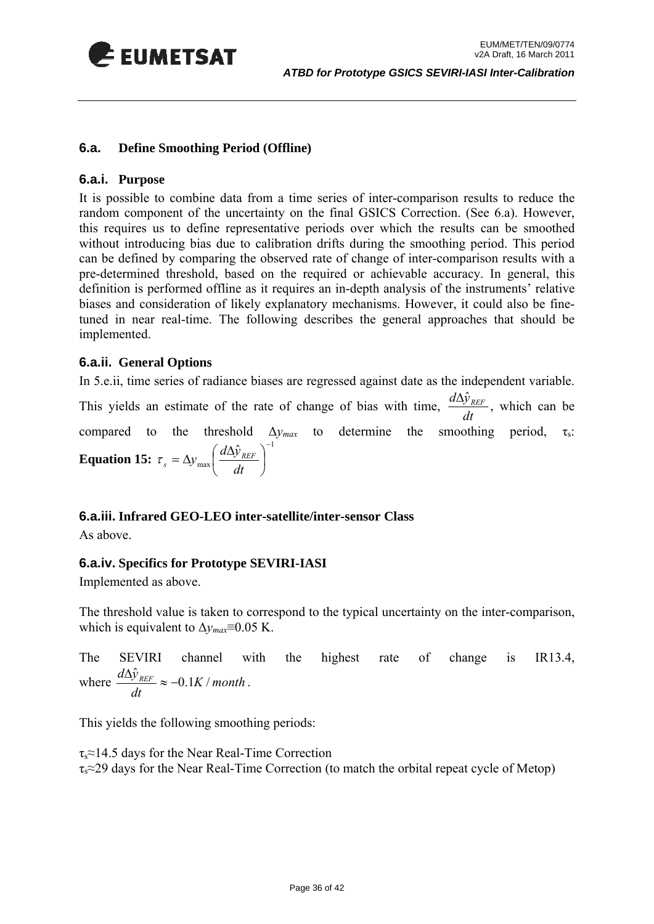<span id="page-35-0"></span>

#### <span id="page-35-1"></span>**6.a. Define Smoothing Period (Offline)**

#### **6.a.i. Purpose**

It is possible to combine data from a time series of inter-comparison results to reduce the random component of the uncertainty on the final GSICS Correction. (See [6.a\)](#page-37-1). However, this requires us to define representative periods over which the results can be smoothed without introducing bias due to calibration drifts during the smoothing period. This period can be defined by comparing the observed rate of change of inter-comparison results with a pre-determined threshold, based on the required or achievable accuracy. In general, this definition is performed offline as it requires an in-depth analysis of the instruments' relative biases and consideration of likely explanatory mechanisms. However, it could also be finetuned in near real-time. The following describes the general approaches that should be implemented.

#### **6.a.ii. General Options**

In [5.e.ii](#page-31-2), time series of radiance biases are regressed against date as the independent variable.

This yields an estimate of the rate of change of bias with time,  $\frac{dE_y}{dt}$  $\frac{d\Delta \hat{y}_{REF}}{dx}$ , which can be compared to the threshold  $\Delta y_{max}$  to determine the smoothing period,  $\tau_s$ : **Equation 15:**  1 max  $\hat{\mathcal{Y}}_{\scriptscriptstyle REF}$  )<sup>−</sup>  $\overline{a}$ ⎠  $\left(\frac{d\Delta \hat{\mathbf{y}}_{REF}}{L}\right)$ ⎝  $=\Delta y_{\rm max} \left( \frac{d\Delta x}{dt} \right)$ *dt*  $\tau_s = \Delta y_{\text{max}} \left( \frac{d \Delta \hat{y}_{\text{REF}}}{dt} \right)$ 

#### **6.a.iii. Infrared GEO-LEO inter-satellite/inter-sensor Class**

As above.

#### **6.a.iv. Specifics for Prototype SEVIRI-IASI**

Implemented as above.

The threshold value is taken to correspond to the typical uncertainty on the inter-comparison, which is equivalent to  $\Delta v_{max} \equiv 0.05$  K.

The SEVIRI channel with the highest rate of change is IR13.4, where  $\frac{u \Delta y_{REF}}{I} \approx -0.1K/month$ *dt*  $\frac{d\Delta \hat{y}_{REF}}{dx} \approx -0.1K/month$ .

This yields the following smoothing periods:

 $\tau_s \approx 14.5$  days for the Near Real-Time Correction  $\tau_s \approx 29$  days for the Near Real-Time Correction (to match the orbital repeat cycle of Metop)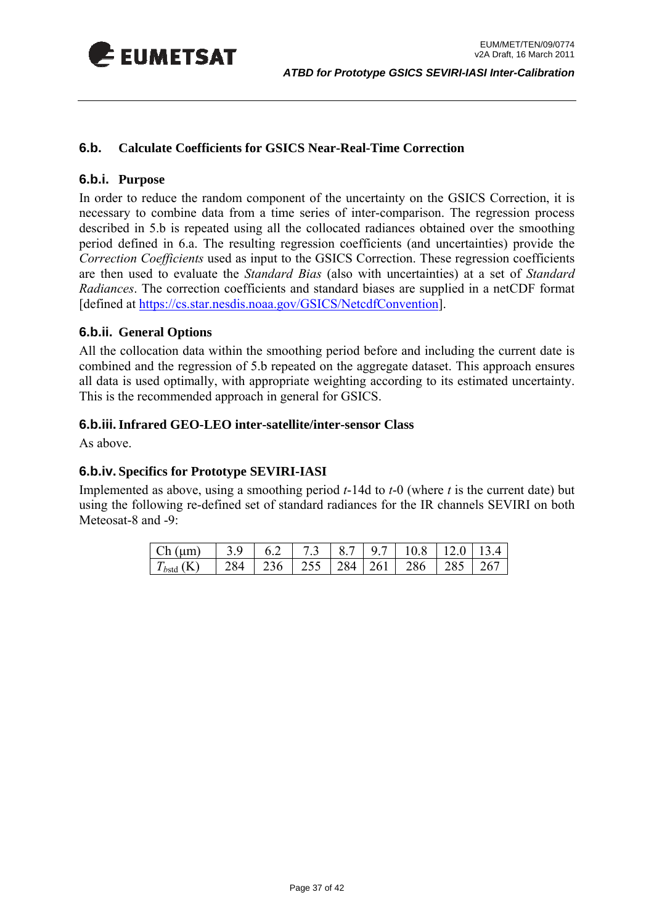<span id="page-36-0"></span>

#### **6.b. Calculate Coefficients for GSICS Near-Real-Time Correction**

#### **6.b.i. Purpose**

In order to reduce the random component of the uncertainty on the GSICS Correction, it is necessary to combine data from a time series of inter-comparison. The regression process described in [5.b](#page-26-2) is repeated using all the collocated radiances obtained over the smoothing period defined in [6.a](#page-35-1). The resulting regression coefficients (and uncertainties) provide the *Correction Coefficients* used as input to the GSICS Correction. These regression coefficients are then used to evaluate the *Standard Bias* (also with uncertainties) at a set of *Standard Radiances*. The correction coefficients and standard biases are supplied in a netCDF format [defined at <https://cs.star.nesdis.noaa.gov/GSICS/NetcdfConvention>].

#### **6.b.ii. General Options**

All the collocation data within the smoothing period before and including the current date is combined and the regression of [5.b](#page-26-2) repeated on the aggregate dataset. This approach ensures all data is used optimally, with appropriate weighting according to its estimated uncertainty. This is the recommended approach in general for GSICS.

#### **6.b.iii.Infrared GEO-LEO inter-satellite/inter-sensor Class**

As above.

#### **6.b.iv. Specifics for Prototype SEVIRI-IASI**

Implemented as above, using a smoothing period *t*-14d to *t*-0 (where *t* is the current date) but using the following re-defined set of standard radiances for the IR channels SEVIRI on both Meteosat-8 and -9:

| $Ch(\mu m)$    |  |  |                                               |  |
|----------------|--|--|-----------------------------------------------|--|
| $T_{bstd}$ (K) |  |  | 284   236   255   284   261   286   285   267 |  |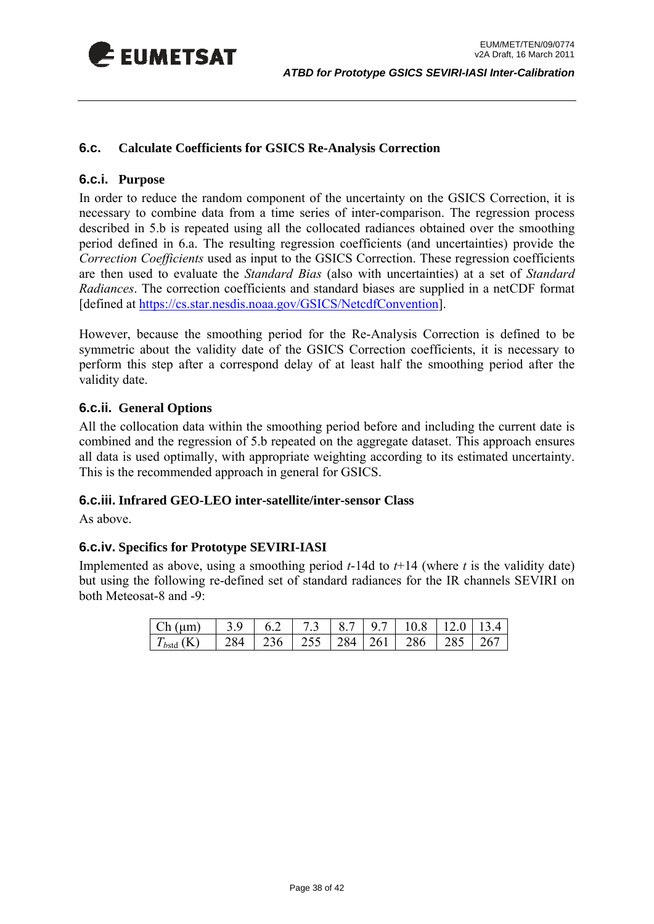<span id="page-37-0"></span>

#### **6.c. Calculate Coefficients for GSICS Re-Analysis Correction**

#### **6.c.i. Purpose**

In order to reduce the random component of the uncertainty on the GSICS Correction, it is necessary to combine data from a time series of inter-comparison. The regression process described in [5.b](#page-26-2) is repeated using all the collocated radiances obtained over the smoothing period defined in [6.a](#page-35-1). The resulting regression coefficients (and uncertainties) provide the *Correction Coefficients* used as input to the GSICS Correction. These regression coefficients are then used to evaluate the *Standard Bias* (also with uncertainties) at a set of *Standard Radiances*. The correction coefficients and standard biases are supplied in a netCDF format [defined at <https://cs.star.nesdis.noaa.gov/GSICS/NetcdfConvention>].

However, because the smoothing period for the Re-Analysis Correction is defined to be symmetric about the validity date of the GSICS Correction coefficients, it is necessary to perform this step after a correspond delay of at least half the smoothing period after the validity date.

#### **6.c.ii. General Options**

All the collocation data within the smoothing period before and including the current date is combined and the regression of [5.b](#page-26-2) repeated on the aggregate dataset. This approach ensures all data is used optimally, with appropriate weighting according to its estimated uncertainty. This is the recommended approach in general for GSICS.

#### **6.c.iii. Infrared GEO-LEO inter-satellite/inter-sensor Class**

As above.

#### **6.c.iv. Specifics for Prototype SEVIRI-IASI**

<span id="page-37-1"></span>Implemented as above, using a smoothing period  $t$ -14d to  $t$ +14 (where  $t$  is the validity date) but using the following re-defined set of standard radiances for the IR channels SEVIRI on both Meteosat-8 and -9:

| Ch (µm)    | $\frac{1}{3}$ $\frac{3}{9}$ |  |  | $6.2$   7.3   8.7   9.7   10.8   12.0   13.4 |     |
|------------|-----------------------------|--|--|----------------------------------------------|-----|
| $T_{bstd}$ | 284                         |  |  | $1236$   255   284   261   286 $^{\circ}$    | 267 |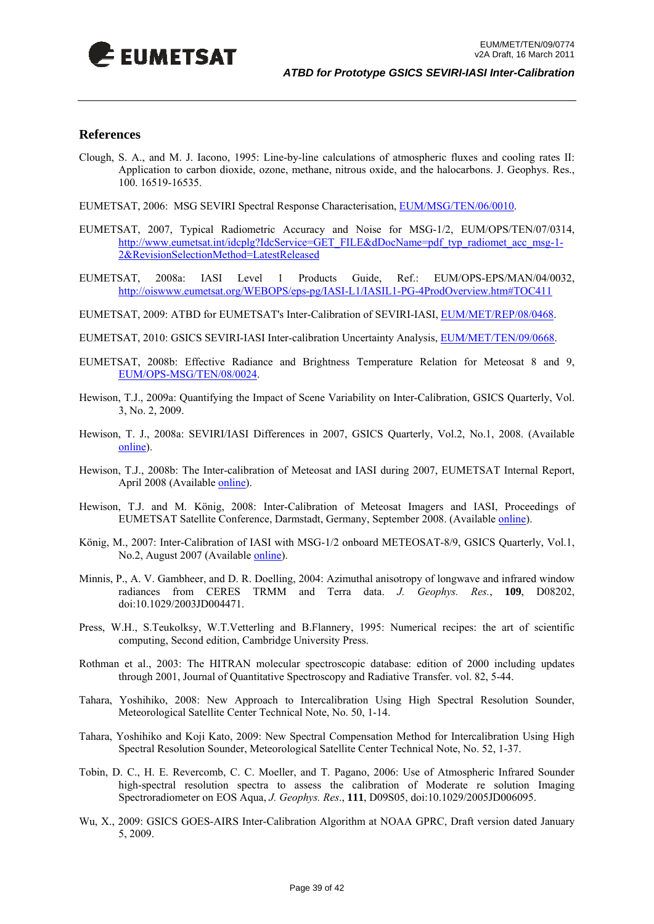<span id="page-38-0"></span>

#### **References**

- Clough, S. A., and M. J. Iacono, 1995: Line-by-line calculations of atmospheric fluxes and cooling rates II: Application to carbon dioxide, ozone, methane, nitrous oxide, and the halocarbons. J. Geophys. Res., 100. 16519-16535.
- EUMETSAT, 2006: MSG SEVIRI Spectral Response Characterisation, [EUM/MSG/TEN/06/0010](http://www.eumetsat.int/groups/ops/documents/file/zip_msg_seviri_spec_res_char.zip).
- EUMETSAT, 2007, Typical Radiometric Accuracy and Noise for MSG-1/2, EUM/OPS/TEN/07/0314, [http://www.eumetsat.int/idcplg?IdcService=GET\\_FILE&dDocName=pdf\\_typ\\_radiomet\\_acc\\_msg-1-](http://www.eumetsat.int/idcplg?IdcService=GET_FILE&dDocName=pdf_typ_radiomet_acc_msg-1-2&RevisionSelectionMethod=LatestReleased) [2&RevisionSelectionMethod=LatestReleased](http://www.eumetsat.int/idcplg?IdcService=GET_FILE&dDocName=pdf_typ_radiomet_acc_msg-1-2&RevisionSelectionMethod=LatestReleased)
- EUMETSAT, 2008a: IASI Level 1 Products Guide, Ref.: EUM/OPS-EPS/MAN/04/0032, <http://oiswww.eumetsat.org/WEBOPS/eps-pg/IASI-L1/IASIL1-PG-4ProdOverview.htm#TOC411>
- EUMETSAT, 2009: ATBD for EUMETSAT's Inter-Calibration of SEVIRI-IASI, EUM/MET/REP/08/0468.
- EUMETSAT, 2010: GSICS SEVIRI-IASI Inter-calibration Uncertainty Analysis, EUM/MET/TEN/09/0668.
- EUMETSAT, 2008b: Effective Radiance and Brightness Temperature Relation for Meteosat 8 and 9, [EUM/OPS-MSG/TEN/08/0024](http://www.eumetsat.int/idcplg?IdcService=GET_FILE&dDocName=PDF_TEN_080024_RAD_BRIGHT_TEMP&RevisionSelectionMethod=LatestReleased).
- Hewison, T.J., 2009a: Quantifying the Impact of Scene Variability on Inter-Calibration, GSICS Quarterly, Vol. 3, No. 2, 2009.
- Hewison, T. J., 2008a: SEVIRI/IASI Differences in 2007, GSICS Quarterly, Vol.2, No.1, 2008. (Available [online](http://www.star.nesdis.noaa.gov/smcd/spb/calibration/icvs/GSICS/documents/newsletter/GSICS_Quarterly_Vol2No1_2008.pdf)).
- Hewison, T.J., 2008b: The Inter-calibration of Meteosat and IASI during 2007, EUMETSAT Internal Report, April 2008 (Available [online\)](http://www.eumetsat.int/Home/Main/What_We_Do/InternationalRelations/CGMS/groups/sir/documents/document/pdf_gsics_rep_03.pdf).
- Hewison, T.J. and M. König, 2008: Inter-Calibration of Meteosat Imagers and IASI, Proceedings of EUMETSAT Satellite Conference, Darmstadt, Germany, September 2008. (Available [online\)](http://www.eumetsat.int/Home/Main/AboutEUMETSAT/InternationalRelations/CGMS/CGMSPublications/groups/sir/documents/document/pdf_gsics_pres_04_proceedings.pdf).
- König, M., 2007: Inter-Calibration of IASI with MSG-1/2 onboard METEOSAT-8/9, GSICS Quarterly, Vol.1, No.2, August 2007 (Available [online](http://www.star.nesdis.noaa.gov/smcd/spb/calibration/icvs/GSICS/documents/newsletter/GSICS_Quarterly_Vol1No2_2007.pdf)).
- Minnis, P., A. V. Gambheer, and D. R. Doelling, 2004: Azimuthal anisotropy of longwave and infrared window radiances from CERES TRMM and Terra data. *J. Geophys. Res.*, **109**, D08202, doi:10.1029/2003JD004471.
- Press, W.H., S.Teukolksy, W.T.Vetterling and B.Flannery, 1995: Numerical recipes: the art of scientific computing, Second edition, Cambridge University Press.
- Rothman et al., 2003: The HITRAN molecular spectroscopic database: edition of 2000 including updates through 2001, Journal of Quantitative Spectroscopy and Radiative Transfer. vol. 82, 5-44.
- Tahara, Yoshihiko, 2008: New Approach to Intercalibration Using High Spectral Resolution Sounder, Meteorological Satellite Center Technical Note, No. 50, 1-14.
- Tahara, Yoshihiko and Koji Kato, 2009: New Spectral Compensation Method for Intercalibration Using High Spectral Resolution Sounder, Meteorological Satellite Center Technical Note, No. 52, 1-37.
- Tobin, D. C., H. E. Revercomb, C. C. Moeller, and T. Pagano, 2006: Use of Atmospheric Infrared Sounder high-spectral resolution spectra to assess the calibration of Moderate re solution Imaging Spectroradiometer on EOS Aqua, *J. Geophys. Res*., **111**, D09S05, doi:10.1029/2005JD006095.
- Wu, X., 2009: GSICS GOES-AIRS Inter-Calibration Algorithm at NOAA GPRC, Draft version dated January 5, 2009.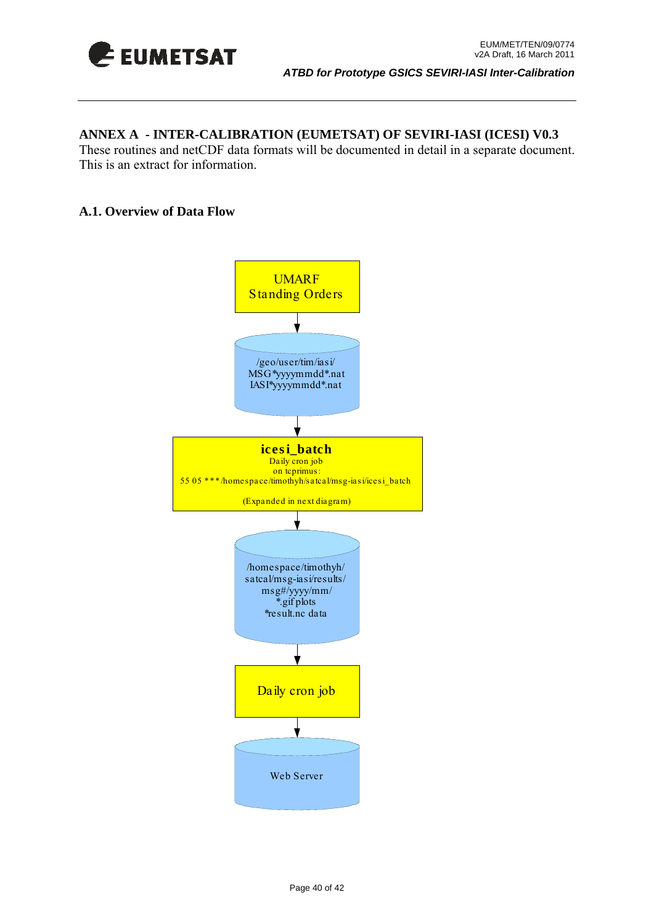<span id="page-39-0"></span>

## **ANNEX A - INTER-CALIBRATION (EUMETSAT) OF SEVIRI-IASI (ICESI) V0.3**

These routines and netCDF data formats will be documented in detail in a separate document. This is an extract for information.

#### **A.1. Overview of Data Flow**

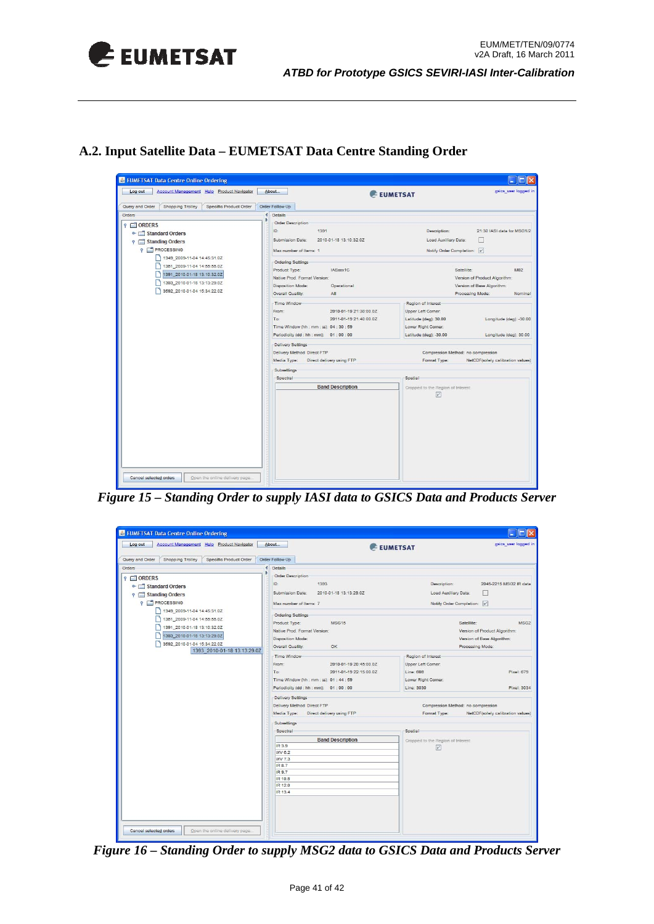

**A.2. Input Satellite Data – EUMETSAT Data Centre Standing Order** 



*Figure 15 – Standing Order to supply IASI data to GSICS Data and Products Server* 

| Account Management Help Product Navigator<br>Log out                                                                                                                         | About                                                                                                                                                                        | gsics_user logged in<br>EUMETSAT                                                                                               |
|------------------------------------------------------------------------------------------------------------------------------------------------------------------------------|------------------------------------------------------------------------------------------------------------------------------------------------------------------------------|--------------------------------------------------------------------------------------------------------------------------------|
| Query and Order<br><b>Shopping Trolley</b><br>Specific Product Order                                                                                                         | Order Follow-Up                                                                                                                                                              |                                                                                                                                |
| Orders                                                                                                                                                                       | Details                                                                                                                                                                      |                                                                                                                                |
| ORDERS<br>o- Standard Orders<br><b>9</b> Standing Orders<br><b>P</b> PROCESSING<br>1349_2009-11-04 14:45:31.0Z<br>1351_2009-11-04 14:55:55.0Z<br>1391_2010-01-18 13:10:32.0Z | <b>Order Description</b><br>1393<br>ID:<br>Submission Date:<br>2010-01-18 13:13:29.0Z<br>Max number of Items: 7<br><b>Ordering Settings</b><br><b>MSG15</b><br>Product Type: | Description:<br>2045-2215 MSG2 IR data<br>Load Auxiliary Data:<br>Notify Order Completion: V<br>Satellite:<br>MSG <sub>2</sub> |
| 1393_2010-01-18 13:13:29.0Z<br>3592 2010-01-04 15:34:22.0Z<br>1393 2010-01-18 13:13:29.0Z                                                                                    | Native Prod. Format Version:<br><b>Disposition Mode:</b><br>OK<br>Overall Quality:                                                                                           | Version of Product Algorithm:<br>Version of Base Algorithm:<br>Processing Mode:                                                |
|                                                                                                                                                                              | Time Window<br>2010-01-19 20:45:00.0Z<br>From:<br>To:<br>2011-01-19 22:15:00.0Z<br>Time Window (hh : mm : ss): 01 : 44 : 59<br>Periodicity (dd : hh : mm): 01 : 00 : 00      | Region of Interest<br>Upper Left Corner:<br>Line: 686<br>Pixel: 679<br>Lower Right Corner:<br>Line: 3030<br>Pixel: 3034        |
|                                                                                                                                                                              | <b>Delivery Settings</b><br>Delivery Method Direct FTP<br>Media Type:<br>Direct delivery using FTP                                                                           | Compression Method: no compression<br>Format Type:<br>NetCDF(solely calibration values)                                        |
|                                                                                                                                                                              | Subsettings                                                                                                                                                                  |                                                                                                                                |
|                                                                                                                                                                              | Spectral<br><b>Band Description</b><br>IR 3.9<br>WV 6.2<br>WV 7.3<br>IR 8.7<br>IR 9.7<br>IR 10.8<br>IR 12.0<br>IR 13.4                                                       | Spatial<br>Cropped to the Region of Interest<br>$\boxed{\nu}$                                                                  |

*Figure 16 – Standing Order to supply MSG2 data to GSICS Data and Products Server*